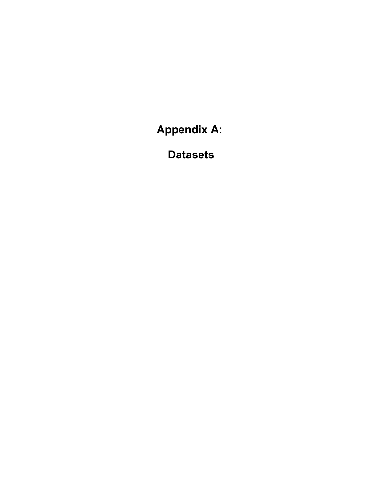**Appendix A:**

 **Datasets**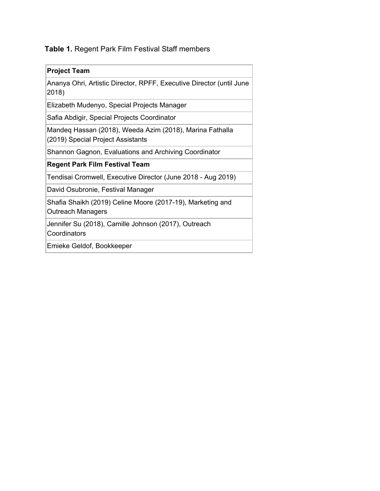**Table 1.** Regent Park Film Festival Staff members

| <b>Project Team</b>                                                                           |
|-----------------------------------------------------------------------------------------------|
| Ananya Ohri, Artistic Director, RPFF, Executive Director (until June<br>2018)                 |
| Elizabeth Mudenyo, Special Projects Manager                                                   |
| Safia Abdigir, Special Projects Coordinator                                                   |
| Mandeq Hassan (2018), Weeda Azim (2018), Marina Fathalla<br>(2019) Special Project Assistants |
| Shannon Gagnon, Evaluations and Archiving Coordinator                                         |
| <b>Regent Park Film Festival Team</b>                                                         |
| Tendisai Cromwell, Executive Director (June 2018 - Aug 2019)                                  |
| David Osubronie, Festival Manager                                                             |
| Shafia Shaikh (2019) Celine Moore (2017-19), Marketing and<br><b>Outreach Managers</b>        |
| Jennifer Su (2018), Camille Johnson (2017), Outreach<br>Coordinators                          |
| Emieke Geldof, Bookkeeper                                                                     |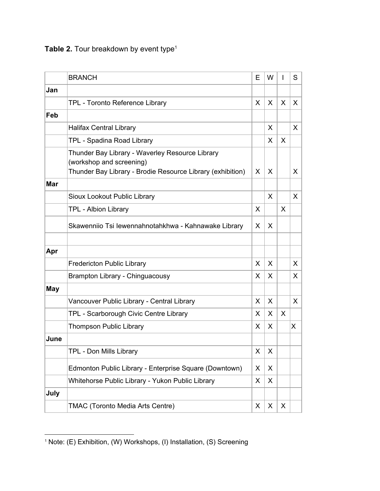| Table 2. Tour breakdown by event type <sup>1</sup> |  |  |
|----------------------------------------------------|--|--|
|----------------------------------------------------|--|--|

|            | <b>BRANCH</b>                                                                                                                             | E | W            |              | S |
|------------|-------------------------------------------------------------------------------------------------------------------------------------------|---|--------------|--------------|---|
| Jan        |                                                                                                                                           |   |              |              |   |
|            | TPL - Toronto Reference Library                                                                                                           | X | $\mathsf{X}$ | $\mathsf{X}$ | X |
| Feb        |                                                                                                                                           |   |              |              |   |
|            | <b>Halifax Central Library</b>                                                                                                            |   | X            |              | X |
|            | TPL - Spadina Road Library                                                                                                                |   | X            | X            |   |
|            | Thunder Bay Library - Waverley Resource Library<br>(workshop and screening)<br>Thunder Bay Library - Brodie Resource Library (exhibition) | X | X            |              | X |
| <b>Mar</b> |                                                                                                                                           |   |              |              |   |
|            | Sioux Lookout Public Library                                                                                                              |   | X            |              | X |
|            | TPL - Albion Library                                                                                                                      | X |              | X            |   |
|            | Skawenniio Tsi lewennahnotahkhwa - Kahnawake Library                                                                                      | X | X            |              |   |
| Apr        |                                                                                                                                           |   |              |              |   |
|            | <b>Fredericton Public Library</b>                                                                                                         | X | X            |              | X |
|            | Brampton Library - Chinguacousy                                                                                                           | X | X            |              | X |
| <b>May</b> |                                                                                                                                           |   |              |              |   |
|            | Vancouver Public Library - Central Library                                                                                                | X | X            |              | X |
|            | TPL - Scarborough Civic Centre Library                                                                                                    | X | $\mathsf{X}$ | X            |   |
|            | <b>Thompson Public Library</b>                                                                                                            | X | X            |              | X |
| June       |                                                                                                                                           |   |              |              |   |
|            | TPL - Don Mills Library                                                                                                                   | X | X            |              |   |
|            | Edmonton Public Library - Enterprise Square (Downtown)                                                                                    | X | X            |              |   |
|            | Whitehorse Public Library - Yukon Public Library                                                                                          | X | X            |              |   |
| July       |                                                                                                                                           |   |              |              |   |
|            | TMAC (Toronto Media Arts Centre)                                                                                                          | X | X            | X            |   |

<sup>1</sup> Note: (E) Exhibition, (W) Workshops, (I) Installation, (S) Screening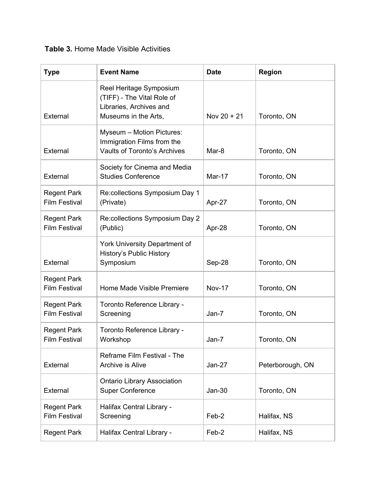### **Table 3.** Home Made Visible Activities

| <b>Type</b>                                | <b>Event Name</b>                                                                                        | <b>Date</b>   | <b>Region</b>    |
|--------------------------------------------|----------------------------------------------------------------------------------------------------------|---------------|------------------|
| External                                   | Reel Heritage Symposium<br>(TIFF) - The Vital Role of<br>Libraries, Archives and<br>Museums in the Arts, | Nov $20 + 21$ | Toronto, ON      |
| External                                   | Myseum - Motion Pictures:<br>Immigration Films from the<br>Vaults of Toronto's Archives                  | Mar-8         | Toronto, ON      |
| External                                   | Society for Cinema and Media<br><b>Studies Conference</b>                                                | Mar-17        | Toronto, ON      |
| <b>Regent Park</b><br><b>Film Festival</b> | Re:collections Symposium Day 1<br>(Private)                                                              | Apr-27        | Toronto, ON      |
| <b>Regent Park</b><br><b>Film Festival</b> | Re:collections Symposium Day 2<br>(Public)                                                               | Apr-28        | Toronto, ON      |
| External                                   | York University Department of<br><b>History's Public History</b><br>Symposium                            | Sep-28        | Toronto, ON      |
| <b>Regent Park</b><br><b>Film Festival</b> | Home Made Visible Premiere                                                                               | <b>Nov-17</b> | Toronto, ON      |
| <b>Regent Park</b><br><b>Film Festival</b> | Toronto Reference Library -<br>Screening                                                                 | Jan-7         | Toronto, ON      |
| <b>Regent Park</b><br><b>Film Festival</b> | Toronto Reference Library -<br>Workshop                                                                  | Jan-7         | Toronto, ON      |
| External                                   | Reframe Film Festival - The<br>Archive is Alive                                                          | $Jan-27$      | Peterborough, ON |
| External                                   | <b>Ontario Library Association</b><br><b>Super Conference</b>                                            | $Jan-30$      | Toronto, ON      |
| <b>Regent Park</b><br><b>Film Festival</b> | Halifax Central Library -<br>Screening                                                                   | Feb-2         | Halifax, NS      |
| <b>Regent Park</b>                         | Halifax Central Library -                                                                                | Feb-2         | Halifax, NS      |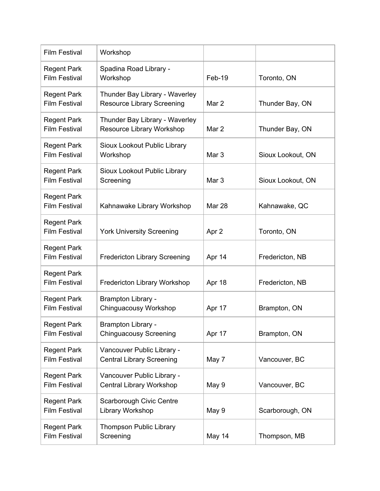| <b>Film Festival</b>                       | Workshop                                                            |                  |                   |
|--------------------------------------------|---------------------------------------------------------------------|------------------|-------------------|
| <b>Regent Park</b><br><b>Film Festival</b> | Spadina Road Library -<br>Workshop                                  | Feb-19           | Toronto, ON       |
| <b>Regent Park</b><br><b>Film Festival</b> | Thunder Bay Library - Waverley<br><b>Resource Library Screening</b> | Mar 2            | Thunder Bay, ON   |
| <b>Regent Park</b><br><b>Film Festival</b> | Thunder Bay Library - Waverley<br>Resource Library Workshop         | Mar 2            | Thunder Bay, ON   |
| <b>Regent Park</b><br><b>Film Festival</b> | Sioux Lookout Public Library<br>Workshop                            | Mar <sub>3</sub> | Sioux Lookout, ON |
| <b>Regent Park</b><br><b>Film Festival</b> | Sioux Lookout Public Library<br>Screening                           | Mar <sub>3</sub> | Sioux Lookout, ON |
| <b>Regent Park</b><br><b>Film Festival</b> | Kahnawake Library Workshop                                          | Mar 28           | Kahnawake, QC     |
| <b>Regent Park</b><br><b>Film Festival</b> | <b>York University Screening</b>                                    | Apr 2            | Toronto, ON       |
| <b>Regent Park</b><br><b>Film Festival</b> | <b>Fredericton Library Screening</b>                                | Apr 14           | Fredericton, NB   |
| <b>Regent Park</b><br><b>Film Festival</b> | Fredericton Library Workshop                                        | Apr 18           | Fredericton, NB   |
| <b>Regent Park</b><br><b>Film Festival</b> | Brampton Library -<br>Chinguacousy Workshop                         | Apr 17           | Brampton, ON      |
| <b>Regent Park</b><br><b>Film Festival</b> | <b>Brampton Library -</b><br><b>Chinguacousy Screening</b>          | Apr 17           | Brampton, ON      |
| <b>Regent Park</b><br><b>Film Festival</b> | Vancouver Public Library -<br><b>Central Library Screening</b>      | May 7            | Vancouver, BC     |
| <b>Regent Park</b><br><b>Film Festival</b> | Vancouver Public Library -<br>Central Library Workshop              | May 9            | Vancouver, BC     |
| <b>Regent Park</b><br><b>Film Festival</b> | Scarborough Civic Centre<br>Library Workshop                        | May 9            | Scarborough, ON   |
| <b>Regent Park</b><br><b>Film Festival</b> | Thompson Public Library<br>Screening                                | May 14           | Thompson, MB      |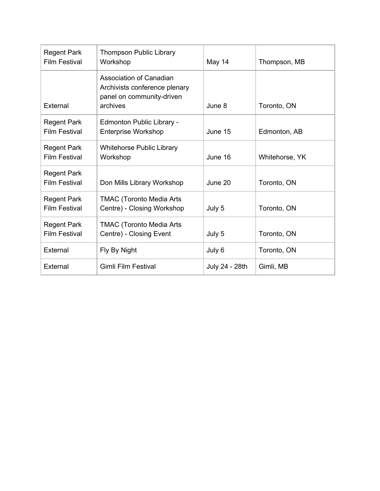| <b>Regent Park</b><br><b>Film Festival</b> | <b>Thompson Public Library</b><br>Workshop                                                               | May 14         | Thompson, MB   |
|--------------------------------------------|----------------------------------------------------------------------------------------------------------|----------------|----------------|
| External                                   | <b>Association of Canadian</b><br>Archivists conference plenary<br>panel on community-driven<br>archives | June 8         | Toronto, ON    |
| <b>Regent Park</b><br><b>Film Festival</b> | Edmonton Public Library -<br><b>Enterprise Workshop</b>                                                  | June 15        | Edmonton, AB   |
| <b>Regent Park</b><br><b>Film Festival</b> | <b>Whitehorse Public Library</b><br>Workshop                                                             | June 16        | Whitehorse, YK |
| <b>Regent Park</b><br><b>Film Festival</b> | Don Mills Library Workshop                                                                               | June 20        | Toronto, ON    |
| <b>Regent Park</b><br><b>Film Festival</b> | <b>TMAC (Toronto Media Arts</b><br>Centre) - Closing Workshop                                            | July 5         | Toronto, ON    |
| <b>Regent Park</b><br><b>Film Festival</b> | <b>TMAC (Toronto Media Arts</b><br>Centre) - Closing Event                                               | July 5         | Toronto, ON    |
| External                                   | Fly By Night                                                                                             | July 6         | Toronto, ON    |
| External                                   | Gimli Film Festival                                                                                      | July 24 - 28th | Gimli, MB      |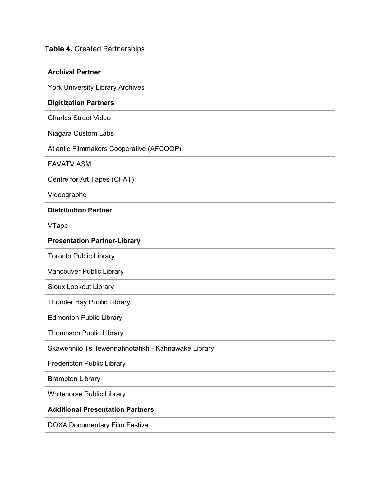### **Table 4.** Created Partnerships

| <b>Archival Partner</b>                            |
|----------------------------------------------------|
| <b>York University Library Archives</b>            |
| <b>Digitization Partners</b>                       |
| <b>Charles Street Video</b>                        |
| Niagara Custom Labs                                |
| Atlantic Filmmakers Cooperative (AFCOOP)           |
| <b>FAVATV.ASM</b>                                  |
| Centre for Art Tapes (CFAT)                        |
| Videographe                                        |
| <b>Distribution Partner</b>                        |
| VTape                                              |
| <b>Presentation Partner-Library</b>                |
| <b>Toronto Public Library</b>                      |
| Vancouver Public Library                           |
| Sioux Lookout Library                              |
| Thunder Bay Public Library                         |
| <b>Edmonton Public Library</b>                     |
| <b>Thompson Public Library</b>                     |
| Skawenniio Tsi lewennahnotahkh - Kahnawake Library |
| <b>Fredericton Public Library</b>                  |
| <b>Brampton Library</b>                            |
| <b>Whitehorse Public Library</b>                   |
| <b>Additional Presentation Partners</b>            |
| <b>DOXA Documentary Film Festival</b>              |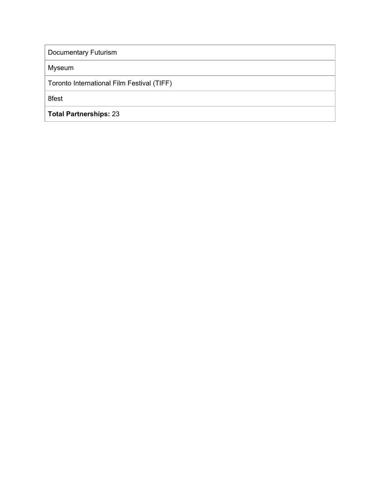Documentary Futurism

Myseum

Toronto International Film Festival (TIFF)

8fest

**Total Partnerships:** 23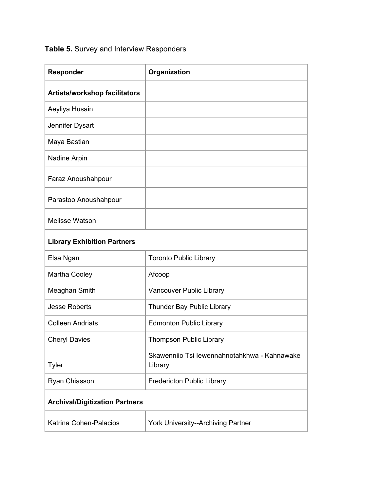# **Table 5.** Survey and Interview Responders

| <b>Responder</b>                      | Organization                                            |
|---------------------------------------|---------------------------------------------------------|
| <b>Artists/workshop facilitators</b>  |                                                         |
| Aeyliya Husain                        |                                                         |
| Jennifer Dysart                       |                                                         |
| Maya Bastian                          |                                                         |
| Nadine Arpin                          |                                                         |
| Faraz Anoushahpour                    |                                                         |
| Parastoo Anoushahpour                 |                                                         |
| <b>Melisse Watson</b>                 |                                                         |
| <b>Library Exhibition Partners</b>    |                                                         |
| Elsa Ngan                             | <b>Toronto Public Library</b>                           |
| Martha Cooley                         | Afcoop                                                  |
| Meaghan Smith                         | Vancouver Public Library                                |
| <b>Jesse Roberts</b>                  | Thunder Bay Public Library                              |
| <b>Colleen Andriats</b>               | <b>Edmonton Public Library</b>                          |
| <b>Cheryl Davies</b>                  | Thompson Public Library                                 |
| <b>Tyler</b>                          | Skawenniio Tsi lewennahnotahkhwa - Kahnawake<br>Library |
| Ryan Chiasson                         | <b>Fredericton Public Library</b>                       |
| <b>Archival/Digitization Partners</b> |                                                         |
| Katrina Cohen-Palacios                | York University--Archiving Partner                      |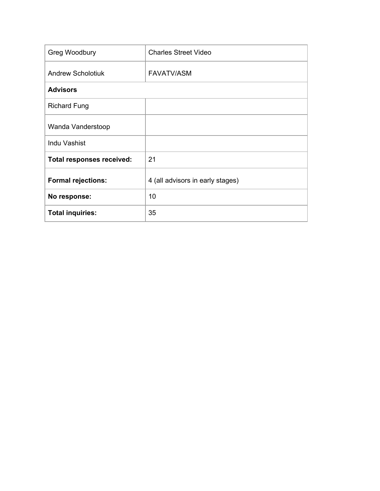| Greg Woodbury                    | <b>Charles Street Video</b>      |
|----------------------------------|----------------------------------|
| <b>Andrew Scholotiuk</b>         | <b>FAVATV/ASM</b>                |
| <b>Advisors</b>                  |                                  |
| <b>Richard Fung</b>              |                                  |
| Wanda Vanderstoop                |                                  |
| Indu Vashist                     |                                  |
| <b>Total responses received:</b> | 21                               |
| <b>Formal rejections:</b>        | 4 (all advisors in early stages) |
| No response:                     | 10                               |
| <b>Total inquiries:</b>          | 35                               |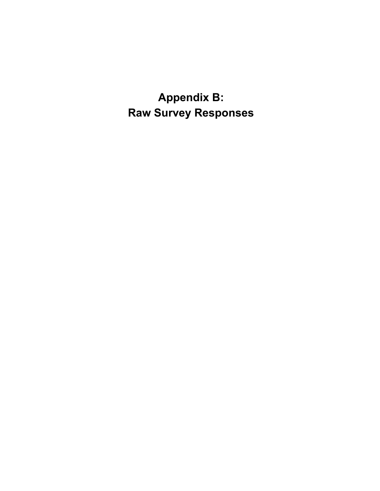**Appendix B: Raw Survey Responses**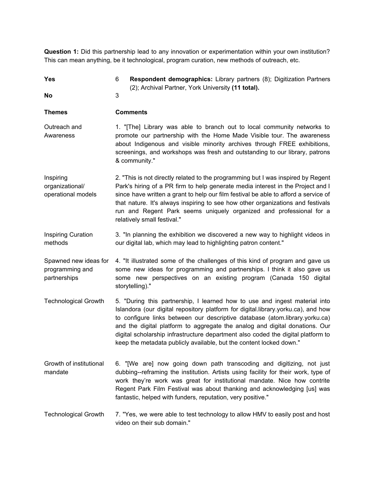**Question 1:** Did this partnership lead to any innovation or experimentation within your own institution? This can mean anything, be it technological, program curation, new methods of outreach, etc.

| <b>Yes</b>                                               | Respondent demographics: Library partners (8); Digitization Partners<br>6<br>(2); Archival Partner, York University (11 total).                                                                                                                                                                                                                                                                                                                                                          |
|----------------------------------------------------------|------------------------------------------------------------------------------------------------------------------------------------------------------------------------------------------------------------------------------------------------------------------------------------------------------------------------------------------------------------------------------------------------------------------------------------------------------------------------------------------|
| No                                                       | 3                                                                                                                                                                                                                                                                                                                                                                                                                                                                                        |
| <b>Themes</b>                                            | <b>Comments</b>                                                                                                                                                                                                                                                                                                                                                                                                                                                                          |
| Outreach and<br>Awareness                                | 1. "[The] Library was able to branch out to local community networks to<br>promote our partnership with the Home Made Visible tour. The awareness<br>about Indigenous and visible minority archives through FREE exhibitions,<br>screenings, and workshops was fresh and outstanding to our library, patrons<br>& community."                                                                                                                                                            |
| Inspiring<br>organizational/<br>operational models       | 2. "This is not directly related to the programming but I was inspired by Regent<br>Park's hiring of a PR firm to help generate media interest in the Project and I<br>since have written a grant to help our film festival be able to afford a service of<br>that nature. It's always inspiring to see how other organizations and festivals<br>run and Regent Park seems uniquely organized and professional for a<br>relatively small festival."                                      |
| <b>Inspiring Curation</b><br>methods                     | 3. "In planning the exhibition we discovered a new way to highlight videos in<br>our digital lab, which may lead to highlighting patron content."                                                                                                                                                                                                                                                                                                                                        |
| Spawned new ideas for<br>programming and<br>partnerships | 4. "It illustrated some of the challenges of this kind of program and gave us<br>some new ideas for programming and partnerships. I think it also gave us<br>some new perspectives on an existing program (Canada 150 digital<br>storytelling)."                                                                                                                                                                                                                                         |
| <b>Technological Growth</b>                              | 5. "During this partnership, I learned how to use and ingest material into<br>Islandora (our digital repository platform for digital.library.yorku.ca), and how<br>to configure links between our descriptive database (atom.library.yorku.ca)<br>and the digital platform to aggregate the analog and digital donations. Our<br>digital scholarship infrastructure department also coded the digital platform to<br>keep the metadata publicly available, but the content locked down." |
| Growth of institutional<br>mandate                       | 6. "[We are] now going down path transcoding and digitizing, not just<br>dubbing--reframing the institution. Artists using facility for their work, type of<br>work they're work was great for institutional mandate. Nice how contrite<br>Regent Park Film Festival was about thanking and acknowledging [us] was<br>fantastic, helped with funders, reputation, very positive."                                                                                                        |
| <b>Technological Growth</b>                              | 7. "Yes, we were able to test technology to allow HMV to easily post and host<br>video on their sub domain."                                                                                                                                                                                                                                                                                                                                                                             |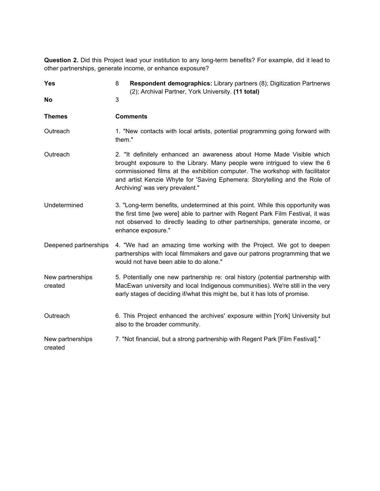**Question 2.** Did this Project lead your institution to any long-term benefits? For example, did it lead to other partnerships, generate income, or enhance exposure?

| <b>Yes</b>                  | Respondent demographics: Library partners (8); Digitization Partnerws<br>8<br>(2); Archival Partner, York University. (11 total)                                                                                                                                                                                                                    |
|-----------------------------|-----------------------------------------------------------------------------------------------------------------------------------------------------------------------------------------------------------------------------------------------------------------------------------------------------------------------------------------------------|
| No                          | 3                                                                                                                                                                                                                                                                                                                                                   |
| <b>Themes</b>               | <b>Comments</b>                                                                                                                                                                                                                                                                                                                                     |
| Outreach                    | 1. "New contacts with local artists, potential programming going forward with<br>them."                                                                                                                                                                                                                                                             |
| Outreach                    | 2. "It definitely enhanced an awareness about Home Made Visible which<br>brought exposure to the Library. Many people were intrigued to view the 6<br>commissioned films at the exhibition computer. The workshop with facilitator<br>and artist Kenzie Whyte for 'Saving Ephemera: Storytelling and the Role of<br>Archiving' was very prevalent." |
| Undetermined                | 3. "Long-term benefits, undetermined at this point. While this opportunity was<br>the first time [we were] able to partner with Regent Park Film Festival, it was<br>not observed to directly leading to other partnerships, generate income, or<br>enhance exposure."                                                                              |
| Deepened partnerships       | 4. "We had an amazing time working with the Project. We got to deepen<br>partnerships with local filmmakers and gave our patrons programming that we<br>would not have been able to do alone."                                                                                                                                                      |
| New partnerships<br>created | 5. Potentially one new partnership re: oral history (potential partnership with<br>MacEwan university and local Indigenous communities). We're still in the very<br>early stages of deciding if/what this might be, but it has lots of promise.                                                                                                     |
| Outreach                    | 6. This Project enhanced the archives' exposure within [York] University but<br>also to the broader community.                                                                                                                                                                                                                                      |
| New partnerships<br>created | 7. "Not financial, but a strong partnership with Regent Park [Film Festival]."                                                                                                                                                                                                                                                                      |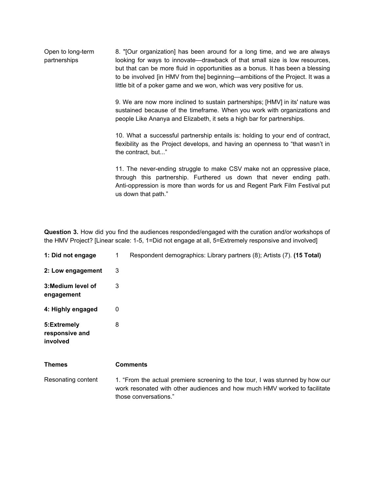Open to long-term partnerships 8. "[Our organization] has been around for a long time, and we are always looking for ways to innovate—drawback of that small size is low resources, but that can be more fluid in opportunities as a bonus. It has been a blessing to be involved [in HMV from the] beginning—ambitions of the Project. It was a little bit of a poker game and we won, which was very positive for us.

> 9. We are now more inclined to sustain partnerships; [HMV] in its' nature was sustained because of the timeframe. When you work with organizations and people Like Ananya and Elizabeth, it sets a high bar for partnerships.

> 10. What a successful partnership entails is: holding to your end of contract, flexibility as the Project develops, and having an openness to "that wasn't in the contract, but..."

> 11. The never-ending struggle to make CSV make not an oppressive place, through this partnership. Furthered us down that never ending path. Anti-oppression is more than words for us and Regent Park Film Festival put us down that path."

**Question 3.** How did you find the audiences responded/engaged with the curation and/or workshops of the HMV Project? [Linear scale: 1-5, 1=Did not engage at all, 5=Extremely responsive and involved]

| 1: Did not engage                         | Respondent demographics: Library partners (8); Artists (7). (15 Total)<br>1                                                                                                        |
|-------------------------------------------|------------------------------------------------------------------------------------------------------------------------------------------------------------------------------------|
| 2: Low engagement                         | 3                                                                                                                                                                                  |
| 3: Medium level of<br>engagement          | 3                                                                                                                                                                                  |
| 4: Highly engaged                         | 0                                                                                                                                                                                  |
| 5:Extremely<br>responsive and<br>involved | 8                                                                                                                                                                                  |
| <b>Themes</b>                             | <b>Comments</b>                                                                                                                                                                    |
| Resonating content                        | 1. "From the actual premiere screening to the tour, I was stunned by how our<br>work resonated with other audiences and how much HMV worked to facilitate<br>those conversations." |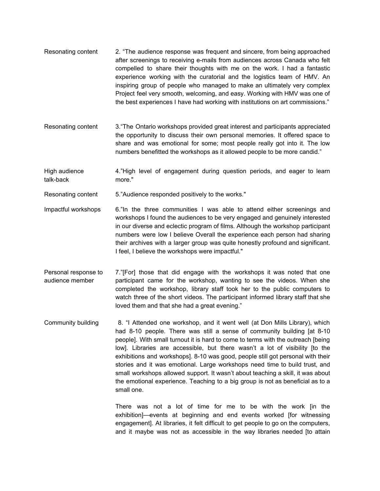- Resonating content 2. "The audience response was frequent and sincere, from being approached after screenings to receiving e-mails from audiences across Canada who felt compelled to share their thoughts with me on the work. I had a fantastic experience working with the curatorial and the logistics team of HMV. An inspiring group of people who managed to make an ultimately very complex Project feel very smooth, welcoming, and easy. Working with HMV was one of the best experiences I have had working with institutions on art commissions."
- Resonating content 3."The Ontario workshops provided great interest and participants appreciated the opportunity to discuss their own personal memories. It offered space to share and was emotional for some; most people really got into it. The low numbers benefitted the workshops as it allowed people to be more candid."
- High audience talk-back 4."High level of engagement during question periods, and eager to learn more."
- Resonating content 5."Audience responded positively to the works."
- Impactful workshops 6."In the three communities I was able to attend either screenings and workshops I found the audiences to be very engaged and genuinely interested in our diverse and eclectic program of films. Although the workshop participant numbers were low I believe Overall the experience each person had sharing their archives with a larger group was quite honestly profound and significant. I feel, I believe the workshops were impactful."
- Personal response to audience member 7."[For] those that did engage with the workshops it was noted that one participant came for the workshop, wanting to see the videos. When she completed the workshop, library staff took her to the public computers to watch three of the short videos. The participant informed library staff that she loved them and that she had a great evening."
- Community building 8. "I Attended one workshop, and it went well (at Don Mills Library), which had 8-10 people. There was still a sense of community building [at 8-10 people]. With small turnout it is hard to come to terms with the outreach [being low]. Libraries are accessible, but there wasn't a lot of visibility [to the exhibitions and workshops]. 8-10 was good, people still got personal with their stories and it was emotional. Large workshops need time to build trust, and small workshops allowed support. It wasn't about teaching a skill, it was about the emotional experience. Teaching to a big group is not as beneficial as to a small one.

There was not a lot of time for me to be with the work [in the exhibition]—events at beginning and end events worked [for witnessing engagement]. At libraries, it felt difficult to get people to go on the computers, and it maybe was not as accessible in the way libraries needed [to attain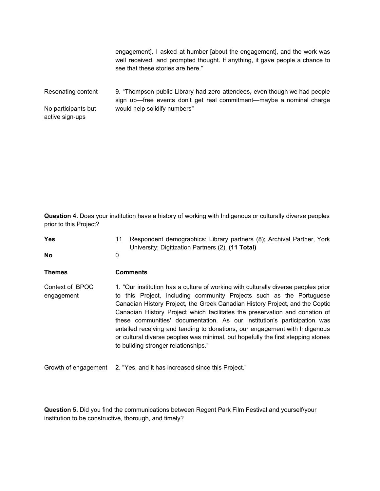|                                        | engagement]. I asked at humber [about the engagement], and the work was<br>well received, and prompted thought. If anything, it gave people a chance to<br>see that these stories are here." |
|----------------------------------------|----------------------------------------------------------------------------------------------------------------------------------------------------------------------------------------------|
| Resonating content                     | 9. "Thompson public Library had zero attendees, even though we had people<br>sign up—free events don't get real commitment—maybe a nominal charge                                            |
| No participants but<br>active sign-ups | would help solidify numbers"                                                                                                                                                                 |

**Question 4.** Does your institution have a history of working with Indigenous or culturally diverse peoples prior to this Project?

| <b>Yes</b><br>No               | Respondent demographics: Library partners (8); Archival Partner, York<br>11<br>University; Digitization Partners (2). (11 Total)<br>$\mathbf{0}$                                                                                                                                                                                                                                                                                                                                                                                                                                                                 |
|--------------------------------|------------------------------------------------------------------------------------------------------------------------------------------------------------------------------------------------------------------------------------------------------------------------------------------------------------------------------------------------------------------------------------------------------------------------------------------------------------------------------------------------------------------------------------------------------------------------------------------------------------------|
| Themes                         | <b>Comments</b>                                                                                                                                                                                                                                                                                                                                                                                                                                                                                                                                                                                                  |
| Context of IBPOC<br>engagement | 1. "Our institution has a culture of working with culturally diverse peoples prior<br>to this Project, including community Projects such as the Portuguese<br>Canadian History Project, the Greek Canadian History Project, and the Coptic<br>Canadian History Project which facilitates the preservation and donation of<br>these communities' documentation. As our institution's participation was<br>entailed receiving and tending to donations, our engagement with Indigenous<br>or cultural diverse peoples was minimal, but hopefully the first stepping stones<br>to building stronger relationships." |
| Growth of engagement           | 2. "Yes, and it has increased since this Project."                                                                                                                                                                                                                                                                                                                                                                                                                                                                                                                                                               |

**Question 5.** Did you find the communications between Regent Park Film Festival and yourself/your institution to be constructive, thorough, and timely?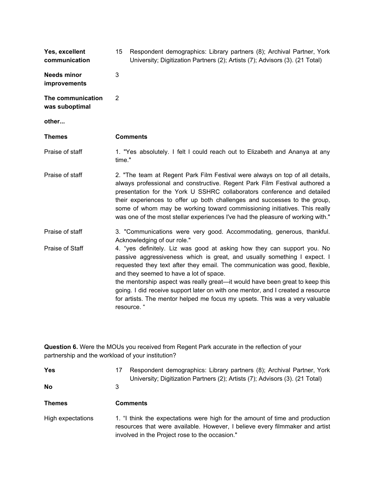| Yes, excellent<br>communication     | 15     | Respondent demographics: Library partners (8); Archival Partner, York<br>University; Digitization Partners (2); Artists (7); Advisors (3). (21 Total)                                                                                                                                                                                                                                                                                                                                                                                          |
|-------------------------------------|--------|------------------------------------------------------------------------------------------------------------------------------------------------------------------------------------------------------------------------------------------------------------------------------------------------------------------------------------------------------------------------------------------------------------------------------------------------------------------------------------------------------------------------------------------------|
| <b>Needs minor</b><br>improvements  | 3      |                                                                                                                                                                                                                                                                                                                                                                                                                                                                                                                                                |
| The communication<br>was suboptimal | 2      |                                                                                                                                                                                                                                                                                                                                                                                                                                                                                                                                                |
| other                               |        |                                                                                                                                                                                                                                                                                                                                                                                                                                                                                                                                                |
| <b>Themes</b>                       |        | <b>Comments</b>                                                                                                                                                                                                                                                                                                                                                                                                                                                                                                                                |
| Praise of staff                     | time." | 1. "Yes absolutely. I felt I could reach out to Elizabeth and Ananya at any                                                                                                                                                                                                                                                                                                                                                                                                                                                                    |
| Praise of staff                     |        | 2. "The team at Regent Park Film Festival were always on top of all details,<br>always professional and constructive. Regent Park Film Festival authored a<br>presentation for the York U SSHRC collaborators conference and detailed<br>their experiences to offer up both challenges and successes to the group,<br>some of whom may be working toward commissioning initiatives. This really<br>was one of the most stellar experiences I've had the pleasure of working with."                                                             |
| Praise of staff                     |        | 3. "Communications were very good. Accommodating, generous, thankful.<br>Acknowledging of our role."                                                                                                                                                                                                                                                                                                                                                                                                                                           |
| Praise of Staff                     |        | 4. "yes definitely. Liz was good at asking how they can support you. No<br>passive aggressiveness which is great, and usually something I expect. I<br>requested they text after they email. The communication was good, flexible,<br>and they seemed to have a lot of space.<br>the mentorship aspect was really great—it would have been great to keep this<br>going. I did receive support later on with one mentor, and I created a resource<br>for artists. The mentor helped me focus my upsets. This was a very valuable<br>resource. " |

**Question 6.** Were the MOUs you received from Regent Park accurate in the reflection of your partnership and the workload of your institution?

| <b>Yes</b><br><b>No</b> | Respondent demographics: Library partners (8); Archival Partner, York<br>17<br>University; Digitization Partners (2); Artists (7); Advisors (3). (21 Total)<br>3                                               |
|-------------------------|----------------------------------------------------------------------------------------------------------------------------------------------------------------------------------------------------------------|
| <b>Themes</b>           | <b>Comments</b>                                                                                                                                                                                                |
| High expectations       | 1. "I think the expectations were high for the amount of time and production<br>resources that were available. However, I believe every filmmaker and artist<br>involved in the Project rose to the occasion." |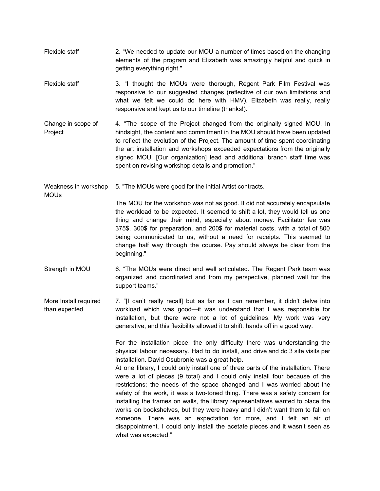- Flexible staff 2. "We needed to update our MOU a number of times based on the changing elements of the program and Elizabeth was amazingly helpful and quick in getting everything right."
- Flexible staff 3. "I thought the MOUs were thorough, Regent Park Film Festival was responsive to our suggested changes (reflective of our own limitations and what we felt we could do here with HMV). Elizabeth was really, really responsive and kept us to our timeline (thanks!)."
- Change in scope of Project 4. "The scope of the Project changed from the originally signed MOU. In hindsight, the content and commitment in the MOU should have been updated to reflect the evolution of the Project. The amount of time spent coordinating the art installation and workshops exceeded expectations from the originally signed MOU. [Our organization] lead and additional branch staff time was spent on revising workshop details and promotion."

Weakness in workshop 5. "The MOUs were good for the initial Artist contracts.

**MOU<sub>s</sub>** 

The MOU for the workshop was not as good. It did not accurately encapsulate the workload to be expected. It seemed to shift a lot, they would tell us one thing and change their mind, especially about money. Facilitator fee was 375\$, 300\$ for preparation, and 200\$ for material costs, with a total of 800 being communicated to us, without a need for receipts. This seemed to change half way through the course. Pay should always be clear from the beginning."

- Strength in MOU 6. "The MOUs were direct and well articulated. The Regent Park team was organized and coordinated and from my perspective, planned well for the support teams."
- More Install required than expected 7. "[I can't really recall] but as far as I can remember, it didn't delve into workload which was good—it was understand that I was responsible for installation, but there were not a lot of guidelines. My work was very generative, and this flexibility allowed it to shift. hands off in a good way.

For the installation piece, the only difficulty there was understanding the physical labour necessary. Had to do install, and drive and do 3 site visits per installation. David Osubronie was a great help.

At one library, I could only install one of three parts of the installation. There were a lot of pieces (9 total) and I could only install four because of the restrictions; the needs of the space changed and I was worried about the safety of the work, it was a two-toned thing. There was a safety concern for installing the frames on walls, the library representatives wanted to place the works on bookshelves, but they were heavy and I didn't want them to fall on someone. There was an expectation for more, and I felt an air of disappointment. I could only install the acetate pieces and it wasn't seen as what was expected."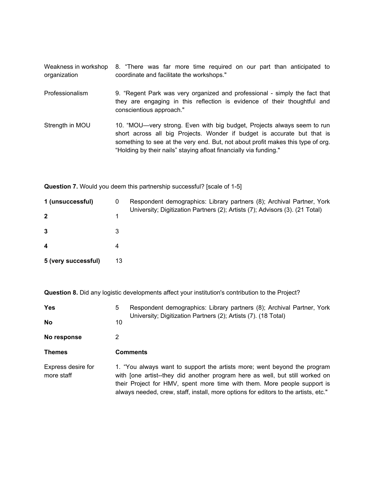Weakness in workshop 8. "There was far more time required on our part than anticipated to organization coordinate and facilitate the workshops."

- Professionalism 9. "Regent Park was very organized and professional simply the fact that they are engaging in this reflection is evidence of their thoughtful and conscientious approach."
- Strength in MOU 10. "MOU—very strong. Even with big budget, Projects always seem to run short across all big Projects. Wonder if budget is accurate but that is something to see at the very end. But, not about profit makes this type of org. "Holding by their nails" staying afloat financially via funding."

**Question 7.** Would you deem this partnership successful? [scale of 1-5]

| 1 (unsuccessful)    | 0  | Respondent demographics: Library partners (8); Archival Partner, York<br>University; Digitization Partners (2); Artists (7); Advisors (3). (21 Total) |
|---------------------|----|-------------------------------------------------------------------------------------------------------------------------------------------------------|
| $\mathbf{2}$        |    |                                                                                                                                                       |
| 3                   | 3  |                                                                                                                                                       |
| 4                   | 4  |                                                                                                                                                       |
| 5 (very successful) | 13 |                                                                                                                                                       |

**Question 8.** Did any logistic developments affect your institution's contribution to the Project?

| <b>Yes</b>                       | 5  | Respondent demographics: Library partners (8); Archival Partner, York<br>University; Digitization Partners (2); Artists (7). (18 Total)                                                                                                                                                                                     |
|----------------------------------|----|-----------------------------------------------------------------------------------------------------------------------------------------------------------------------------------------------------------------------------------------------------------------------------------------------------------------------------|
| <b>No</b>                        | 10 |                                                                                                                                                                                                                                                                                                                             |
| No response                      | 2  |                                                                                                                                                                                                                                                                                                                             |
| <b>Themes</b>                    |    | <b>Comments</b>                                                                                                                                                                                                                                                                                                             |
| Express desire for<br>more staff |    | 1. "You always want to support the artists more; went beyond the program<br>with [one artist--they did another program here as well, but still worked on<br>their Project for HMV, spent more time with them. More people support is<br>always needed, crew, staff, install, more options for editors to the artists, etc." |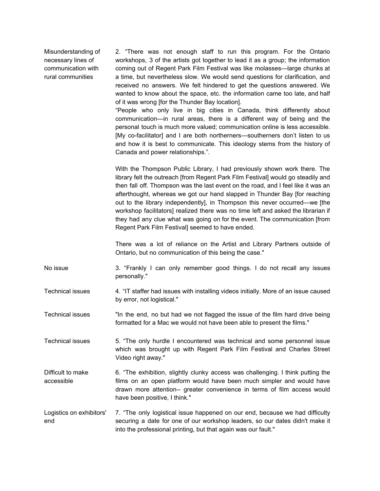Misunderstanding of necessary lines of communication with rural communities

2. "There was not enough staff to run this program. For the Ontario workshops, 3 of the artists got together to lead it as a group; the information coming out of Regent Park Film Festival was like molasses—large chunks at a time, but nevertheless slow. We would send questions for clarification, and received no answers. We felt hindered to get the questions answered. We wanted to know about the space, etc. the information came too late, and half of it was wrong [for the Thunder Bay location]. "People who only live in big cities in Canada, think differently about communication—in rural areas, there is a different way of being and the

personal touch is much more valued; communication online is less accessible. [My co-facilitator] and I are both northerners—southerners don't listen to us and how it is best to communicate. This ideology stems from the history of Canada and power relationships.".

With the Thompson Public Library, I had previously shown work there. The library felt the outreach [from Regent Park Film Festival] would go steadily and then fall off. Thompson was the last event on the road, and I feel like it was an afterthought, whereas we got our hand slapped in Thunder Bay [for reaching out to the library independently], in Thompson this never occurred—we [the workshop facilitators] realized there was no time left and asked the librarian if they had any clue what was going on for the event. The communication [from Regent Park Film Festival] seemed to have ended.

There was a lot of reliance on the Artist and Library Partners outside of Ontario, but no communication of this being the case."

No issue 3. "Frankly I can only remember good things. I do not recall any issues personally."

Technical issues 4. "IT staffer had issues with installing videos initially. More of an issue caused by error, not logistical."

Technical issues "In the end, no but had we not flagged the issue of the film hard drive being formatted for a Mac we would not have been able to present the films."

Technical issues 5. "The only hurdle I encountered was technical and some personnel issue which was brought up with Regent Park Film Festival and Charles Street Video right away."

Difficult to make accessible 6. "The exhibition, slightly clunky access was challenging. I think putting the films on an open platform would have been much simpler and would have drawn more attention-- greater convenience in terms of film access would have been positive, I think."

Logistics on exhibitors' end 7. "The only logistical issue happened on our end, because we had difficulty securing a date for one of our workshop leaders, so our dates didn't make it into the professional printing, but that again was our fault."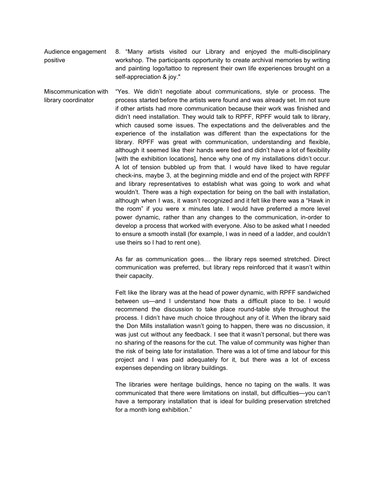Audience engagement positive 8. "Many artists visited our Library and enjoyed the multi-disciplinary workshop. The participants opportunity to create archival memories by writing and painting logo/tattoo to represent their own life experiences brought on a self-appreciation & joy."

Miscommunication with library coordinator "Yes. We didn't negotiate about communications, style or process. The process started before the artists were found and was already set. Im not sure if other artists had more communication because their work was finished and didn't need installation. They would talk to RPFF, RPFF would talk to library, which caused some issues. The expectations and the deliverables and the experience of the installation was different than the expectations for the library. RPFF was great with communication, understanding and flexible, although it seemed like their hands were tied and didn't have a lot of flexibility [with the exhibition locations], hence why one of my installations didn't occur. A lot of tension bubbled up from that. I would have liked to have regular check-ins, maybe 3, at the beginning middle and end of the project with RPFF and library representatives to establish what was going to work and what wouldn't. There was a high expectation for being on the ball with installation, although when I was, it wasn't recognized and it felt like there was a "Hawk in the room" if you were x minutes late. I would have preferred a more level power dynamic, rather than any changes to the communication, in-order to develop a process that worked with everyone. Also to be asked what I needed to ensure a smooth install (for example, I was in need of a ladder, and couldn't use theirs so I had to rent one).

> As far as communication goes… the library reps seemed stretched. Direct communication was preferred, but library reps reinforced that it wasn't within their capacity.

> Felt like the library was at the head of power dynamic, with RPFF sandwiched between us—and I understand how thats a difficult place to be. I would recommend the discussion to take place round-table style throughout the process. I didn't have much choice throughout any of it. When the library said the Don Mills installation wasn't going to happen, there was no discussion, it was just cut without any feedback. I see that it wasn't personal, but there was no sharing of the reasons for the cut. The value of community was higher than the risk of being late for installation. There was a lot of time and labour for this project and I was paid adequately for it, but there was a lot of excess expenses depending on library buildings.

> The libraries were heritage buildings, hence no taping on the walls. It was communicated that there were limitations on install, but difficulties—you can't have a temporary installation that is ideal for building preservation stretched for a month long exhibition."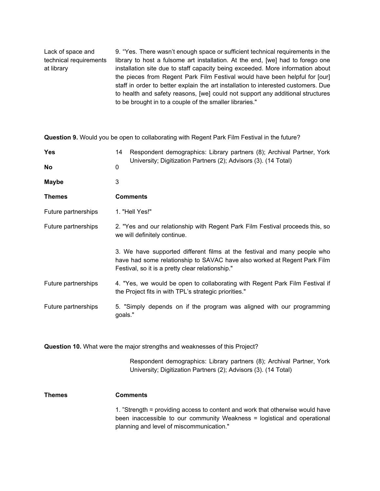Lack of space and technical requirements at library 9. "Yes. There wasn't enough space or sufficient technical requirements in the library to host a fulsome art installation. At the end, [we] had to forego one installation site due to staff capacity being exceeded. More information about the pieces from Regent Park Film Festival would have been helpful for [our] staff in order to better explain the art installation to interested customers. Due to health and safety reasons, [we] could not support any additional structures to be brought in to a couple of the smaller libraries."

**Question 9.** Would you be open to collaborating with Regent Park Film Festival in the future? **Yes** 14 Respondent demographics: Library partners (8); Archival Partner, York University; Digitization Partners (2); Advisors (3). (14 Total) **No** 0 Maybe 3 **Themes Comments** Future partnerships 1. "Hell Yes!" Future partnerships 2. "Yes and our relationship with Regent Park Film Festival proceeds this, so we will definitely continue. 3. We have supported different films at the festival and many people who have had some relationship to SAVAC have also worked at Regent Park Film Festival, so it is a pretty clear relationship." Future partnerships 4. "Yes, we would be open to collaborating with Regent Park Film Festival if the Project fits in with TPL's strategic priorities." Future partnerships 5. "Simply depends on if the program was aligned with our programming goals."

**Question 10.** What were the major strengths and weaknesses of this Project?

Respondent demographics: Library partners (8); Archival Partner, York University; Digitization Partners (2); Advisors (3). (14 Total)

**Themes Comments**

1. "Strength = providing access to content and work that otherwise would have been inaccessible to our community Weakness = logistical and operational planning and level of miscommunication."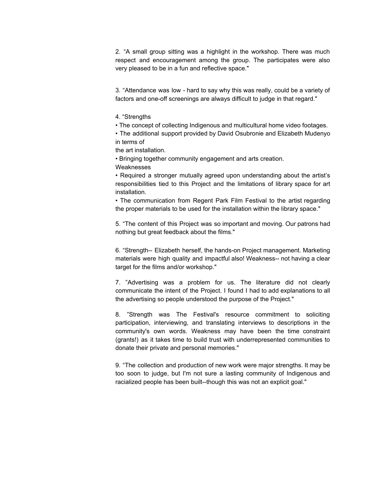2. "A small group sitting was a highlight in the workshop. There was much respect and encouragement among the group. The participates were also very pleased to be in a fun and reflective space."

3. "Attendance was low - hard to say why this was really, could be a variety of factors and one-off screenings are always difficult to judge in that regard."

4. "Strengths

• The concept of collecting Indigenous and multicultural home video footages.

• The additional support provided by David Osubronie and Elizabeth Mudenyo in terms of

the art installation.

• Bringing together community engagement and arts creation.

Weaknesses

• Required a stronger mutually agreed upon understanding about the artist's responsibilities tied to this Project and the limitations of library space for art installation.

• The communication from Regent Park Film Festival to the artist regarding the proper materials to be used for the installation within the library space."

5. "The content of this Project was so important and moving. Our patrons had nothing but great feedback about the films."

6. "Strength-- Elizabeth herself, the hands-on Project management. Marketing materials were high quality and impactful also! Weakness-- not having a clear target for the films and/or workshop."

7. "Advertising was a problem for us. The literature did not clearly communicate the intent of the Project. I found I had to add explanations to all the advertising so people understood the purpose of the Project."

8. "Strength was The Festival's resource commitment to soliciting participation, interviewing, and translating interviews to descriptions in the community's own words. Weakness may have been the time constraint (grants!) as it takes time to build trust with underrepresented communities to donate their private and personal memories."

9. "The collection and production of new work were major strengths. It may be too soon to judge, but I'm not sure a lasting community of Indigenous and racialized people has been built--though this was not an explicit goal."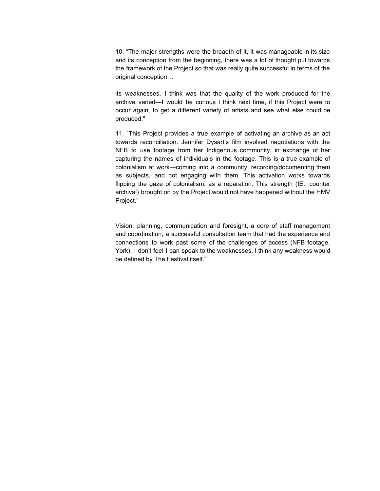10. "The major strengths were the breadth of it, it was manageable in its size and its conception from the beginning, there was a lot of thought put towards the framework of the Project so that was really quite successful in terms of the original conception…

its weaknesses, I think was that the quality of the work produced for the archive varied—I would be curious I think next time, if this Project were to occur again, to get a different variety of artists and see what else could be produced."

11. "This Project provides a true example of activating an archive as an act towards reconciliation. Jennifer Dysart's film involved negotiations with the NFB to use footage from her Indigenous community, in exchange of her capturing the names of individuals in the footage. This is a true example of colonialism at work—coming into a community, recording/documenting them as subjects, and not engaging with them. This activation works towards flipping the gaze of colonialism, as a reparation. This strength (IE., counter archival) brought on by the Project would not have happened without the HMV Project."

Vision, planning, communication and foresight, a core of staff management and coordination, a successful consultation team that had the experience and connections to work past some of the challenges of access (NFB footage, York). I don't feel I can speak to the weaknesses, I think any weakness would be defined by The Festival itself."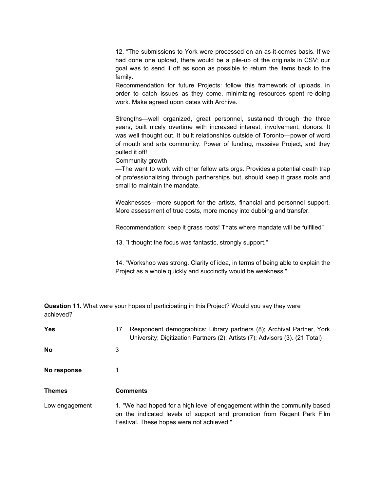12. "The submissions to York were processed on an as-it-comes basis. If we had done one upload, there would be a pile-up of the originals in CSV; our goal was to send it off as soon as possible to return the items back to the family.

Recommendation for future Projects: follow this framework of uploads, in order to catch issues as they come, minimizing resources spent re-doing work. Make agreed upon dates with Archive.

Strengths—well organized, great personnel, sustained through the three years, built nicely overtime with increased interest, involvement, donors. It was well thought out. It built relationships outside of Toronto—power of word of mouth and arts community. Power of funding, massive Project, and they pulled it off!

Community growth

—The want to work with other fellow arts orgs. Provides a potential death trap of professionalizing through partnerships but, should keep it grass roots and small to maintain the mandate.

Weaknesses—more support for the artists, financial and personnel support. More assessment of true costs, more money into dubbing and transfer.

Recommendation: keep it grass roots! Thats where mandate will be fulfilled"

13. "I thought the focus was fantastic, strongly support."

14. "Workshop was strong. Clarity of idea, in terms of being able to explain the Project as a whole quickly and succinctly would be weakness."

**Question 11.** What were your hopes of participating in this Project? Would you say they were achieved?

| <b>Yes</b>     | Respondent demographics: Library partners (8); Archival Partner, York<br>17<br>University; Digitization Partners (2); Artists (7); Advisors (3). (21 Total) |
|----------------|-------------------------------------------------------------------------------------------------------------------------------------------------------------|
| <b>No</b>      | 3                                                                                                                                                           |
| No response    |                                                                                                                                                             |
| <b>Themes</b>  | <b>Comments</b>                                                                                                                                             |
| Low engagement | 1. "We had hoped for a high level of engagement within the community based<br>on the indicated levels of support and promotion from Regent Park Film        |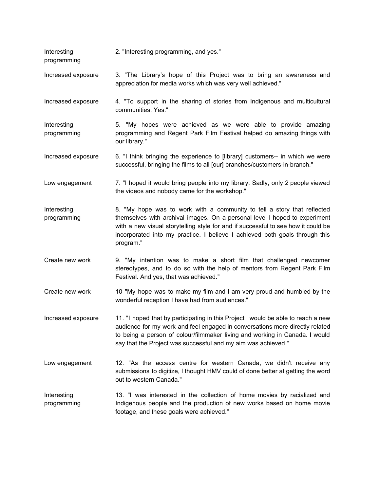Interesting 2. "Interesting programming, and yes."

programming

Increased exposure 3. "The Library's hope of this Project was to bring an awareness and appreciation for media works which was very well achieved."

Increased exposure 4. "To support in the sharing of stories from Indigenous and multicultural communities. Yes."

Interesting programming 5. "My hopes were achieved as we were able to provide amazing programming and Regent Park Film Festival helped do amazing things with our library."

Increased exposure 6. "I think bringing the experience to [library] customers-- in which we were successful, bringing the films to all [our] branches/customers-in-branch."

Low engagement 7. "I hoped it would bring people into my library. Sadly, only 2 people viewed the videos and nobody came for the workshop."

Interesting programming 8. "My hope was to work with a community to tell a story that reflected themselves with archival images. On a personal level I hoped to experiment with a new visual storytelling style for and if successful to see how it could be incorporated into my practice. I believe I achieved both goals through this program."

Create new work 9. "My intention was to make a short film that challenged newcomer stereotypes, and to do so with the help of mentors from Regent Park Film Festival. And yes, that was achieved."

Create new work 10 "My hope was to make my film and I am very proud and humbled by the wonderful reception I have had from audiences."

Increased exposure 11. "I hoped that by participating in this Project I would be able to reach a new audience for my work and feel engaged in conversations more directly related to being a person of colour/filmmaker living and working in Canada. I would say that the Project was successful and my aim was achieved."

Low engagement 12. "As the access centre for western Canada, we didn't receive any submissions to digitize, I thought HMV could of done better at getting the word out to western Canada."

Interesting programming 13. "I was interested in the collection of home movies by racialized and Indigenous people and the production of new works based on home movie footage, and these goals were achieved."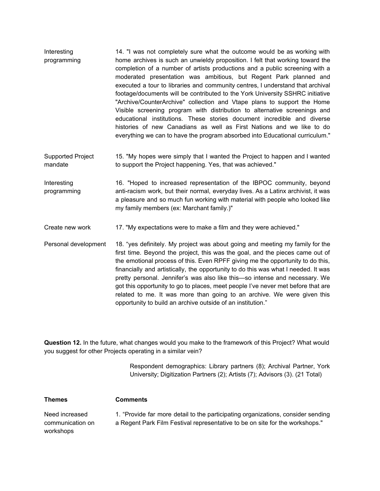- Interesting programming 14. "I was not completely sure what the outcome would be as working with home archives is such an unwieldy proposition. I felt that working toward the completion of a number of artists productions and a public screening with a moderated presentation was ambitious, but Regent Park planned and executed a tour to libraries and community centres, I understand that archival footage/documents will be contributed to the York University SSHRC initiative "Archive/CounterArchive" collection and Vtape plans to support the Home Visible screening program with distribution to alternative screenings and educational institutions. These stories document incredible and diverse histories of new Canadians as well as First Nations and we like to do everything we can to have the program absorbed into Educational curriculum."
- Supported Project mandate 15. "My hopes were simply that I wanted the Project to happen and I wanted to support the Project happening. Yes, that was achieved."

Interesting programming 16. "Hoped to increased representation of the IBPOC community, beyond anti-racism work, but their normal, everyday lives. As a Latinx archivist, it was a pleasure and so much fun working with material with people who looked like my family members (ex: Marchant family.)"

Create new work 17. "My expectations were to make a film and they were achieved."

Personal development 18. "yes definitely. My project was about going and meeting my family for the first time. Beyond the project, this was the goal, and the pieces came out of the emotional process of this. Even RPFF giving me the opportunity to do this, financially and artistically, the opportunity to do this was what I needed. It was pretty personal. Jennifer's was also like this—so intense and necessary. We got this opportunity to go to places, meet people I've never met before that are related to me. It was more than going to an archive. We were given this opportunity to build an archive outside of an institution."

**Question 12.** In the future, what changes would you make to the framework of this Project? What would you suggest for other Projects operating in a similar vein?

> Respondent demographics: Library partners (8); Archival Partner, York University; Digitization Partners (2); Artists (7); Advisors (3). (21 Total)

**Themes Comments** Need increased communication on workshops 1. "Provide far more detail to the participating organizations, consider sending a Regent Park Film Festival representative to be on site for the workshops."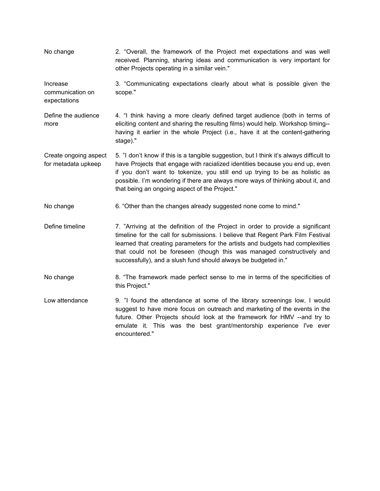- No change 2. "Overall, the framework of the Project met expectations and was well received. Planning, sharing ideas and communication is very important for other Projects operating in a similar vein." Increase communication on expectations 3. "Communicating expectations clearly about what is possible given the scope." Define the audience more 4. "I think having a more clearly defined target audience (both in terms of eliciting content and sharing the resulting films) would help. Workshop timing- having it earlier in the whole Project (i.e., have it at the content-gathering stage)." Create ongoing aspect for metadata upkeep 5. "I don't know if this is a tangible suggestion, but I think it's always difficult to have Projects that engage with racialized identities because you end up, even if you don't want to tokenize, you still end up trying to be as holistic as possible. I'm wondering if there are always more ways of thinking about it, and that being an ongoing aspect of the Project." No change 6. "Other than the changes already suggested none come to mind."
- Define timeline 7. "Arriving at the definition of the Project in order to provide a significant timeline for the call for submissions. I believe that Regent Park Film Festival learned that creating parameters for the artists and budgets had complexities that could not be foreseen (though this was managed constructively and successfully), and a slush fund should always be budgeted in."
- No change **8.** "The framework made perfect sense to me in terms of the specificities of this Project."
- Low attendance 9. "I found the attendance at some of the library screenings low, I would suggest to have more focus on outreach and marketing of the events in the future. Other Projects should look at the framework for HMV --and try to emulate it. This was the best grant/mentorship experience I've ever encountered."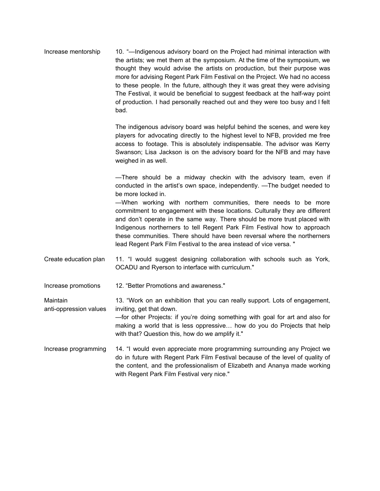| Increase mentorship | 10. "—Indigenous advisory board on the Project had minimal interaction with    |
|---------------------|--------------------------------------------------------------------------------|
|                     | the artists; we met them at the symposium. At the time of the symposium, we    |
|                     | thought they would advise the artists on production, but their purpose was     |
|                     | more for advising Regent Park Film Festival on the Project. We had no access   |
|                     | to these people. In the future, although they it was great they were advising  |
|                     | The Festival, it would be beneficial to suggest feedback at the half-way point |
|                     | of production. I had personally reached out and they were too busy and I felt  |
|                     | bad.                                                                           |

The indigenous advisory board was helpful behind the scenes, and were key players for advocating directly to the highest level to NFB, provided me free access to footage. This is absolutely indispensable. The advisor was Kerry Swanson; Lisa Jackson is on the advisory board for the NFB and may have weighed in as well.

—There should be a midway checkin with the advisory team, even if conducted in the artist's own space, independently. —The budget needed to be more locked in.

—When working with northern communities, there needs to be more commitment to engagement with these locations. Culturally they are different and don't operate in the same way. There should be more trust placed with Indigenous northerners to tell Regent Park Film Festival how to approach these communities. There should have been reversal where the northerners lead Regent Park Film Festival to the area instead of vice versa. "

- Create education plan 11. "I would suggest designing collaboration with schools such as York, OCADU and Ryerson to interface with curriculum."
- Increase promotions 12. "Better Promotions and awareness."

Maintain anti-oppression values 13. "Work on an exhibition that you can really support. Lots of engagement, inviting, get that down.

—for other Projects: if you're doing something with goal for art and also for making a world that is less oppressive… how do you do Projects that help with that? Question this, how do we amplify it."

Increase programming 14. "I would even appreciate more programming surrounding any Project we do in future with Regent Park Film Festival because of the level of quality of the content, and the professionalism of Elizabeth and Ananya made working with Regent Park Film Festival very nice."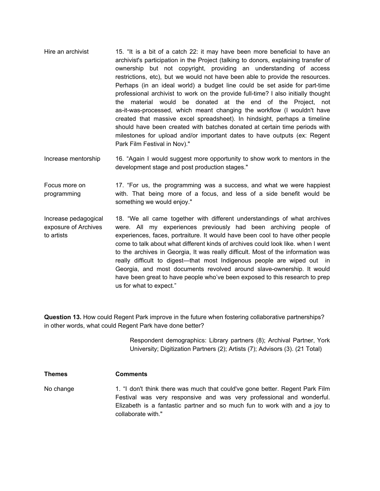- Hire an archivist 15. "It is a bit of a catch 22: it may have been more beneficial to have an archivist's participation in the Project (talking to donors, explaining transfer of ownership but not copyright, providing an understanding of access restrictions, etc), but we would not have been able to provide the resources. Perhaps (in an ideal world) a budget line could be set aside for part-time professional archivist to work on the provide full-time? I also initially thought the material would be donated at the end of the Project, not as-it-was-processed, which meant changing the workflow (I wouldn't have created that massive excel spreadsheet). In hindsight, perhaps a timeline should have been created with batches donated at certain time periods with milestones for upload and/or important dates to have outputs (ex: Regent Park Film Festival in Nov)."
- Increase mentorship 16. "Again I would suggest more opportunity to show work to mentors in the development stage and post production stages."

Focus more on programming 17. "For us, the programming was a success, and what we were happiest with. That being more of a focus, and less of a side benefit would be something we would enjoy."

Increase pedagogical exposure of Archives to artists 18. "We all came together with different understandings of what archives were. All my experiences previously had been archiving people of experiences, faces, portraiture. It would have been cool to have other people come to talk about what different kinds of archives could look like. when I went to the archives in Georgia, It was really difficult. Most of the information was really difficult to digest—that most Indigenous people are wiped out in Georgia, and most documents revolved around slave-ownership. It would have been great to have people who've been exposed to this research to prep us for what to expect."

**Question 13.** How could Regent Park improve in the future when fostering collaborative partnerships? in other words, what could Regent Park have done better?

> Respondent demographics: Library partners (8); Archival Partner, York University; Digitization Partners (2); Artists (7); Advisors (3). (21 Total)

No change 1. "I don't think there was much that could've gone better. Regent Park Film Festival was very responsive and was very professional and wonderful. Elizabeth is a fantastic partner and so much fun to work with and a joy to collaborate with."

**Themes Comments**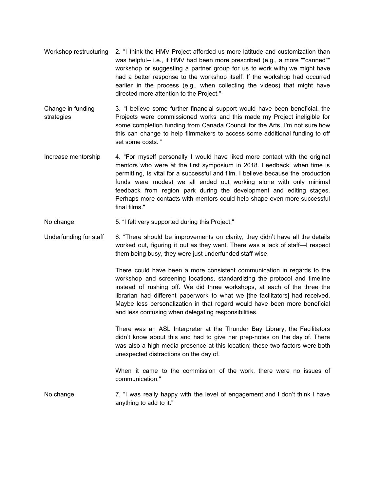- Workshop restructuring 2. "I think the HMV Project afforded us more latitude and customization than was helpful-- i.e., if HMV had been more prescribed (e.g., a more ""canned"" workshop or suggesting a partner group for us to work with) we might have had a better response to the workshop itself. If the workshop had occurred earlier in the process (e.g., when collecting the videos) that might have directed more attention to the Project."
- Change in funding strategies 3. "I believe some further financial support would have been beneficial. the Projects were commissioned works and this made my Project ineligible for some completion funding from Canada Council for the Arts. I'm not sure how this can change to help filmmakers to access some additional funding to off set some costs. "
- Increase mentorship 4. "For myself personally I would have liked more contact with the original mentors who were at the first symposium in 2018. Feedback, when time is permitting, is vital for a successful and film. I believe because the production funds were modest we all ended out working alone with only minimal feedback from region park during the development and editing stages. Perhaps more contacts with mentors could help shape even more successful final films."
- No change The S. "I felt very supported during this Project."
- Underfunding for staff 6. "There should be improvements on clarity, they didn't have all the details worked out, figuring it out as they went. There was a lack of staff—I respect them being busy, they were just underfunded staff-wise.

There could have been a more consistent communication in regards to the workshop and screening locations, standardizing the protocol and timeline instead of rushing off. We did three workshops, at each of the three the librarian had different paperwork to what we [the facilitators] had received. Maybe less personalization in that regard would have been more beneficial and less confusing when delegating responsibilities.

There was an ASL Interpreter at the Thunder Bay Library; the Facilitators didn't know about this and had to give her prep-notes on the day of. There was also a high media presence at this location; these two factors were both unexpected distractions on the day of.

When it came to the commission of the work, there were no issues of communication."

No change 7. "I was really happy with the level of engagement and I don't think I have anything to add to it."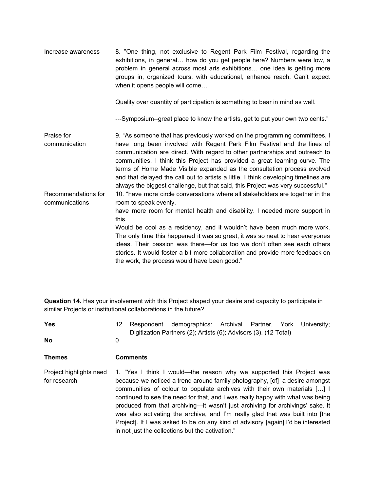Increase awareness 8. "One thing, not exclusive to Regent Park Film Festival, regarding the exhibitions, in general… how do you get people here? Numbers were low, a problem in general across most arts exhibitions… one idea is getting more groups in, organized tours, with educational, enhance reach. Can't expect when it opens people will come…

Quality over quantity of participation is something to bear in mind as well.

---Symposium--great place to know the artists, get to put your own two cents."

Praise for communication Recommendations for communications 9. "As someone that has previously worked on the programming committees, I have long been involved with Regent Park Film Festival and the lines of communication are direct. With regard to other partnerships and outreach to communities, I think this Project has provided a great learning curve. The terms of Home Made Visible expanded as the consultation process evolved and that delayed the call out to artists a little. I think developing timelines are always the biggest challenge, but that said, this Project was very successful." 10. "have more circle conversations where all stakeholders are together in the room to speak evenly. have more room for mental health and disability. I needed more support in this. Would be cool as a residency, and it wouldn't have been much more work. The only time this happened it was so great, it was so neat to hear everyones ideas. Their passion was there—for us too we don't often see each others stories. It would foster a bit more collaboration and provide more feedback on the work, the process would have been good."

**Question 14.** Has your involvement with this Project shaped your desire and capacity to participate in similar Projects or institutional collaborations in the future?

| <b>Yes</b>                              | 12 | Respondent      | demographics: Archival Partner, York<br>Digitization Partners (2); Artists (6); Advisors (3). (12 Total)                                                                                                                                                                                                                                                                                                                                                                                                                                                                                                                     |  | University: |
|-----------------------------------------|----|-----------------|------------------------------------------------------------------------------------------------------------------------------------------------------------------------------------------------------------------------------------------------------------------------------------------------------------------------------------------------------------------------------------------------------------------------------------------------------------------------------------------------------------------------------------------------------------------------------------------------------------------------------|--|-------------|
| <b>No</b>                               | 0  |                 |                                                                                                                                                                                                                                                                                                                                                                                                                                                                                                                                                                                                                              |  |             |
| Themes                                  |    | <b>Comments</b> |                                                                                                                                                                                                                                                                                                                                                                                                                                                                                                                                                                                                                              |  |             |
| Project highlights need<br>for research |    |                 | 1. "Yes I think I would—the reason why we supported this Project was<br>because we noticed a trend around family photography, [of] a desire amongst<br>communities of colour to populate archives with their own materials [] I<br>continued to see the need for that, and I was really happy with what was being<br>produced from that archiving—it wasn't just archiving for archivings' sake. It<br>was also activating the archive, and I'm really glad that was built into [the<br>Project]. If I was asked to be on any kind of advisory [again] I'd be interested<br>in not just the collections but the activation." |  |             |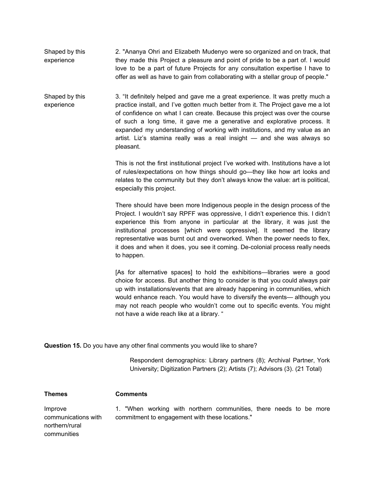Shaped by this experience 2. "Ananya Ohri and Elizabeth Mudenyo were so organized and on track, that they made this Project a pleasure and point of pride to be a part of. I would love to be a part of future Projects for any consultation expertise I have to offer as well as have to gain from collaborating with a stellar group of people."

Shaped by this experience 3. "It definitely helped and gave me a great experience. It was pretty much a practice install, and I've gotten much better from it. The Project gave me a lot of confidence on what I can create. Because this project was over the course of such a long time, it gave me a generative and explorative process. It expanded my understanding of working with institutions, and my value as an artist. Liz's stamina really was a real insight — and she was always so pleasant.

> This is not the first institutional project I've worked with. Institutions have a lot of rules/expectations on how things should go—they like how art looks and relates to the community but they don't always know the value: art is political, especially this project.

> There should have been more Indigenous people in the design process of the Project. I wouldn't say RPFF was oppressive, I didn't experience this. I didn't experience this from anyone in particular at the library, it was just the institutional processes [which were oppressive]. It seemed the library representative was burnt out and overworked. When the power needs to flex, it does and when it does, you see it coming. De-colonial process really needs to happen.

> [As for alternative spaces] to hold the exhibitions—libraries were a good choice for access. But another thing to consider is that you could always pair up with installations/events that are already happening in communities, which would enhance reach. You would have to diversify the events— although you may not reach people who wouldn't come out to specific events. You might not have a wide reach like at a library. "

**Question 15.** Do you have any other final comments you would like to share?

Respondent demographics: Library partners (8); Archival Partner, York University; Digitization Partners (2); Artists (7); Advisors (3). (21 Total)

**Themes Comments**

Improve communications with northern/rural communities

1. "When working with northern communities, there needs to be more commitment to engagement with these locations."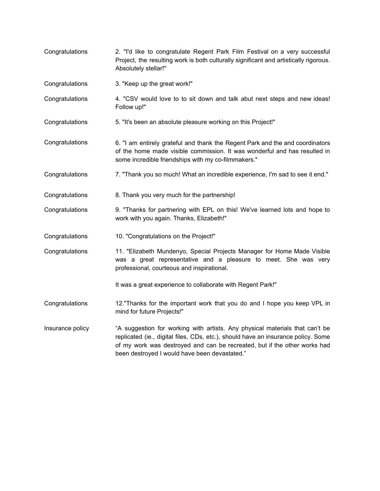Congratulations 2. "I'd like to congratulate Regent Park Film Festival on a very successful Project, the resulting work is both culturally significant and artistically rigorous. Absolutely stellar!" Congratulations 3. "Keep up the great work!" Congratulations 4. "CSV would love to to sit down and talk abut next steps and new ideas! Follow up!" Congratulations 5. "It's been an absolute pleasure working on this Project!" Congratulations 6. "I am entirely grateful and thank the Regent Park and the and coordinators of the home made visible commission. It was wonderful and has resulted in some incredible friendships with my co-filmmakers." Congratulations 7. "Thank you so much! What an incredible experience, I'm sad to see it end." Congratulations 8. Thank you very much for the partnership! Congratulations 9. "Thanks for partnering with EPL on this! We've learned lots and hope to work with you again. Thanks, Elizabeth!" Congratulations 10. "Congratulations on the Project!" Congratulations 11. "Elizabeth Mundenyo, Special Projects Manager for Home Made Visible was a great representative and a pleasure to meet. She was very professional, courteous and inspirational. It was a great experience to collaborate with Regent Park!" **Congratulations** Insurance policy 12."Thanks for the important work that you do and I hope you keep VPL in mind for future Projects!" "A suggestion for working with artists. Any physical materials that can't be replicated (ie., digital files, CDs, etc.), should have an insurance policy. Some of my work was destroyed and can be recreated, but if the other works had been destroyed I would have been devastated."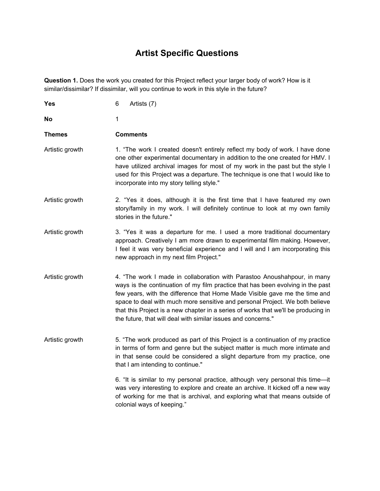# **Artist Specific Questions**

**Question 1.** Does the work you created for this Project reflect your larger body of work? How is it similar/dissimilar? If dissimilar, will you continue to work in this style in the future?

| Yes             | 6<br>Artists (7)                                                                                                                                                                                                                                                                                                                                                                                                                                                                 |
|-----------------|----------------------------------------------------------------------------------------------------------------------------------------------------------------------------------------------------------------------------------------------------------------------------------------------------------------------------------------------------------------------------------------------------------------------------------------------------------------------------------|
| No              | 1                                                                                                                                                                                                                                                                                                                                                                                                                                                                                |
| <b>Themes</b>   | <b>Comments</b>                                                                                                                                                                                                                                                                                                                                                                                                                                                                  |
| Artistic growth | 1. "The work I created doesn't entirely reflect my body of work. I have done<br>one other experimental documentary in addition to the one created for HMV. I<br>have utilized archival images for most of my work in the past but the style I<br>used for this Project was a departure. The technique is one that I would like to<br>incorporate into my story telling style."                                                                                                   |
| Artistic growth | 2. "Yes it does, although it is the first time that I have featured my own<br>story/family in my work. I will definitely continue to look at my own family<br>stories in the future."                                                                                                                                                                                                                                                                                            |
| Artistic growth | 3. "Yes it was a departure for me. I used a more traditional documentary<br>approach. Creatively I am more drawn to experimental film making. However,<br>I feel it was very beneficial experience and I will and I am incorporating this<br>new approach in my next film Project."                                                                                                                                                                                              |
| Artistic growth | 4. "The work I made in collaboration with Parastoo Anoushahpour, in many<br>ways is the continuation of my film practice that has been evolving in the past<br>few years, with the difference that Home Made Visible gave me the time and<br>space to deal with much more sensitive and personal Project. We both believe<br>that this Project is a new chapter in a series of works that we'll be producing in<br>the future, that will deal with similar issues and concerns." |
| Artistic growth | 5. "The work produced as part of this Project is a continuation of my practice<br>in terms of form and genre but the subject matter is much more intimate and<br>in that sense could be considered a slight departure from my practice, one<br>that I am intending to continue."                                                                                                                                                                                                 |
|                 | 6. "It is similar to my personal practice, although very personal this time-it<br>was very interesting to explore and create an archive. It kicked off a new way<br>of working for me that is archival, and exploring what that means outside of<br>colonial ways of keeping."                                                                                                                                                                                                   |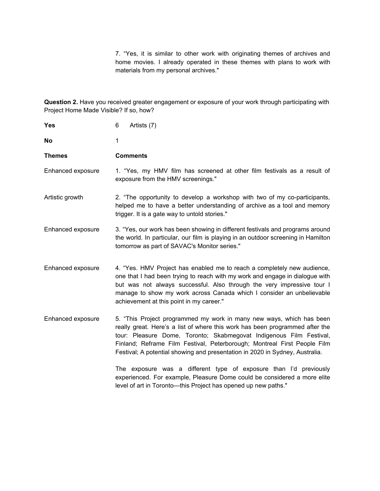7. "Yes, it is similar to other work with originating themes of archives and home movies. I already operated in these themes with plans to work with materials from my personal archives."

**Question 2.** Have you received greater engagement or exposure of your work through participating with Project Home Made Visible? If so, how?

| <b>Yes</b>        | 6<br>Artists (7)                                                                                                                                                                                                                                                                                                                                                                        |
|-------------------|-----------------------------------------------------------------------------------------------------------------------------------------------------------------------------------------------------------------------------------------------------------------------------------------------------------------------------------------------------------------------------------------|
| No                | 1                                                                                                                                                                                                                                                                                                                                                                                       |
| <b>Themes</b>     | <b>Comments</b>                                                                                                                                                                                                                                                                                                                                                                         |
| Enhanced exposure | 1. "Yes, my HMV film has screened at other film festivals as a result of<br>exposure from the HMV screenings."                                                                                                                                                                                                                                                                          |
| Artistic growth   | 2. "The opportunity to develop a workshop with two of my co-participants,<br>helped me to have a better understanding of archive as a tool and memory<br>trigger. It is a gate way to untold stories."                                                                                                                                                                                  |
| Enhanced exposure | 3. "Yes, our work has been showing in different festivals and programs around<br>the world. In particular, our film is playing in an outdoor screening in Hamilton<br>tomorrow as part of SAVAC's Monitor series."                                                                                                                                                                      |
| Enhanced exposure | 4. "Yes. HMV Project has enabled me to reach a completely new audience,<br>one that I had been trying to reach with my work and engage in dialogue with<br>but was not always successful. Also through the very impressive tour I<br>manage to show my work across Canada which I consider an unbelievable<br>achievement at this point in my career."                                  |
| Enhanced exposure | 5. "This Project programmed my work in many new ways, which has been<br>really great. Here's a list of where this work has been programmed after the<br>tour: Pleasure Dome, Toronto; Skabmegovat Indigenous Film Festival,<br>Finland; Reframe Film Festival, Peterborough; Montreal First People Film<br>Festival; A potential showing and presentation in 2020 in Sydney, Australia. |
|                   | The exposure was a different type of exposure than I'd previously<br>experienced. For example, Pleasure Dome could be considered a more elite<br>level of art in Toronto-this Project has opened up new paths."                                                                                                                                                                         |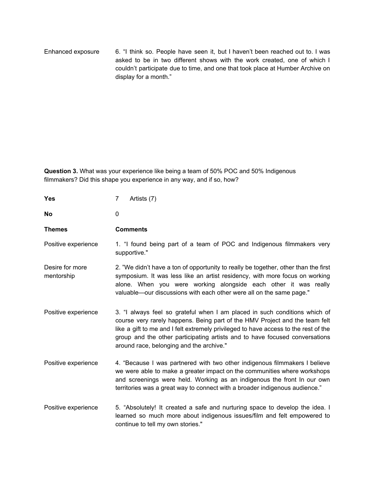Enhanced exposure 6. "I think so. People have seen it, but I haven't been reached out to. I was asked to be in two different shows with the work created, one of which I couldn't participate due to time, and one that took place at Humber Archive on display for a month."

**Question 3.** What was your experience like being a team of 50% POC and 50% Indigenous filmmakers? Did this shape you experience in any way, and if so, how?

| <b>Yes</b>                    | 7<br>Artists (7)                                                                                                                                                                                                                                                                                                                                                            |
|-------------------------------|-----------------------------------------------------------------------------------------------------------------------------------------------------------------------------------------------------------------------------------------------------------------------------------------------------------------------------------------------------------------------------|
| <b>No</b>                     | 0                                                                                                                                                                                                                                                                                                                                                                           |
| <b>Themes</b>                 | <b>Comments</b>                                                                                                                                                                                                                                                                                                                                                             |
| Positive experience           | 1. "I found being part of a team of POC and Indigenous filmmakers very<br>supportive."                                                                                                                                                                                                                                                                                      |
| Desire for more<br>mentorship | 2. "We didn't have a ton of opportunity to really be together, other than the first<br>symposium. It was less like an artist residency, with more focus on working<br>alone. When you were working alongside each other it was really<br>valuable-our discussions with each other were all on the same page."                                                               |
| Positive experience           | 3. "I always feel so grateful when I am placed in such conditions which of<br>course very rarely happens. Being part of the HMV Project and the team felt<br>like a gift to me and I felt extremely privileged to have access to the rest of the<br>group and the other participating artists and to have focused conversations<br>around race, belonging and the archive." |
| Positive experience           | 4. "Because I was partnered with two other indigenous filmmakers I believe<br>we were able to make a greater impact on the communities where workshops<br>and screenings were held. Working as an indigenous the front In our own<br>territories was a great way to connect with a broader indigenous audience."                                                            |
| Positive experience           | 5. "Absolutely! It created a safe and nurturing space to develop the idea. I<br>learned so much more about indigenous issues/film and felt empowered to<br>continue to tell my own stories."                                                                                                                                                                                |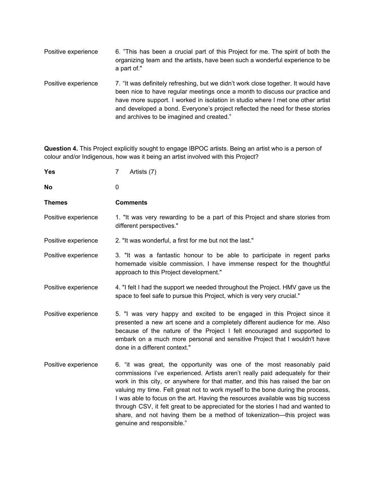| Positive experience | 6. "This has been a crucial part of this Project for me. The spirit of both the<br>organizing team and the artists, have been such a wonderful experience to be<br>a part of."                                                                                                                                                                                                     |
|---------------------|------------------------------------------------------------------------------------------------------------------------------------------------------------------------------------------------------------------------------------------------------------------------------------------------------------------------------------------------------------------------------------|
| Positive experience | 7. "It was definitely refreshing, but we didn't work close together. It would have<br>been nice to have regular meetings once a month to discuss our practice and<br>have more support. I worked in isolation in studio where I met one other artist<br>and developed a bond. Everyone's project reflected the need for these stories<br>and archives to be imagined and created." |

**Question 4.** This Project explicitly sought to engage IBPOC artists. Being an artist who is a person of colour and/or Indigenous, how was it being an artist involved with this Project?

| <b>Yes</b>          | $\overline{7}$<br>Artists (7)                                                                                                                                                                                                                                                                                                                                                                                                                                                                                                                                                                            |
|---------------------|----------------------------------------------------------------------------------------------------------------------------------------------------------------------------------------------------------------------------------------------------------------------------------------------------------------------------------------------------------------------------------------------------------------------------------------------------------------------------------------------------------------------------------------------------------------------------------------------------------|
| No                  | 0                                                                                                                                                                                                                                                                                                                                                                                                                                                                                                                                                                                                        |
| <b>Themes</b>       | <b>Comments</b>                                                                                                                                                                                                                                                                                                                                                                                                                                                                                                                                                                                          |
| Positive experience | 1. "It was very rewarding to be a part of this Project and share stories from<br>different perspectives."                                                                                                                                                                                                                                                                                                                                                                                                                                                                                                |
| Positive experience | 2. "It was wonderful, a first for me but not the last."                                                                                                                                                                                                                                                                                                                                                                                                                                                                                                                                                  |
| Positive experience | 3. "It was a fantastic honour to be able to participate in regent parks<br>homemade visible commission. I have immense respect for the thoughtful<br>approach to this Project development."                                                                                                                                                                                                                                                                                                                                                                                                              |
| Positive experience | 4. "I felt I had the support we needed throughout the Project. HMV gave us the<br>space to feel safe to pursue this Project, which is very very crucial."                                                                                                                                                                                                                                                                                                                                                                                                                                                |
| Positive experience | 5. "I was very happy and excited to be engaged in this Project since it<br>presented a new art scene and a completely different audience for me. Also<br>because of the nature of the Project I felt encouraged and supported to<br>embark on a much more personal and sensitive Project that I wouldn't have<br>done in a different context."                                                                                                                                                                                                                                                           |
| Positive experience | 6. "it was great, the opportunity was one of the most reasonably paid<br>commissions I've experienced. Artists aren't really paid adequately for their<br>work in this city, or anywhere for that matter, and this has raised the bar on<br>valuing my time. Felt great not to work myself to the bone during the process,<br>I was able to focus on the art. Having the resources available was big success<br>through CSV, it felt great to be appreciated for the stories I had and wanted to<br>share, and not having them be a method of tokenization—this project was<br>genuine and responsible." |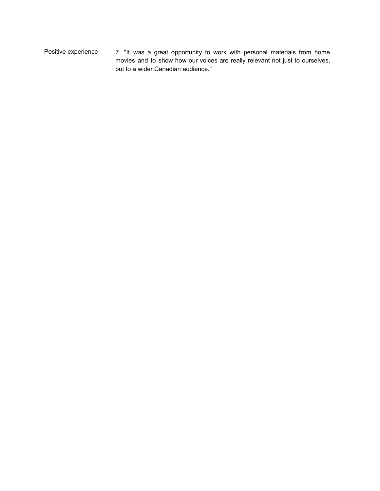Positive experience 7. "It was a great opportunity to work with personal materials from home movies and to show how our voices are really relevant not just to ourselves, but to a wider Canadian audience."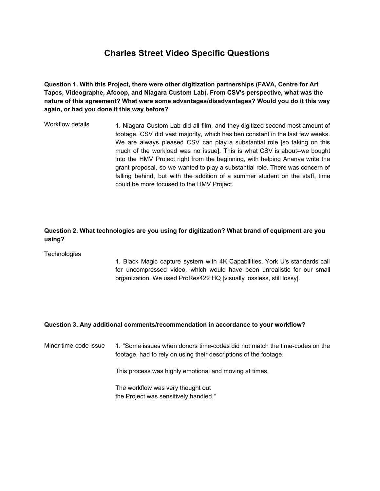# **Charles Street Video Specific Questions**

**Question 1. With this Project, there were other digitization partnerships (FAVA, Centre for Art Tapes, Videographe, Afcoop, and Niagara Custom Lab). From CSV's perspective, what was the nature of this agreement? What were some advantages/disadvantages? Would you do it this way again, or had you done it this way before?**

Workflow details 1. Niagara Custom Lab did all film, and they digitized second most amount of footage. CSV did vast majority, which has ben constant in the last few weeks. We are always pleased CSV can play a substantial role [so taking on this much of the workload was no issue]. This is what CSV is about--we bought into the HMV Project right from the beginning, with helping Ananya write the grant proposal, so we wanted to play a substantial role. There was concern of falling behind, but with the addition of a summer student on the staff, time could be more focused to the HMV Project.

#### **Question 2. What technologies are you using for digitization? What brand of equipment are you using?**

**Technologies** 

1. Black Magic capture system with 4K Capabilities. York U's standards call for uncompressed video, which would have been unrealistic for our small organization. We used ProRes422 HQ [visually lossless, still lossy].

#### **Question 3. Any additional comments/recommendation in accordance to your workflow?**

Minor time-code issue 1. "Some issues when donors time-codes did not match the time-codes on the footage, had to rely on using their descriptions of the footage.

This process was highly emotional and moving at times.

The workflow was very thought out the Project was sensitively handled."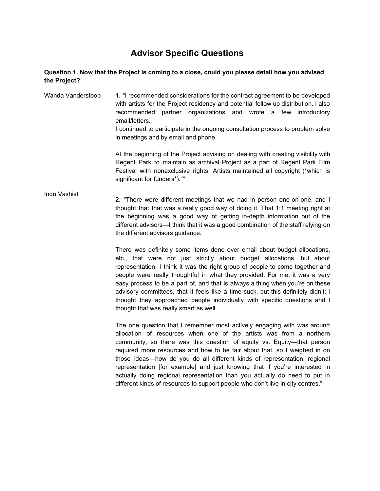# **Advisor Specific Questions**

#### **Question 1. Now that the Project is coming to a close, could you please detail how you advised the Project?**

Wanda Vanderstoop 1. "I recommended considerations for the contract agreement to be developed with artists for the Project residency and potential follow up distribution. I also recommended partner organizations and wrote a few introductory email/letters. I continued to participate in the ongoing consultation process to problem solve in meetings and by email and phone.

At the beginning of the Project advising on dealing with creating visibility with Regent Park to maintain as archival Project as a part of Regent Park Film Festival with nonexclusive rights. Artists maintained all copyright (\*which is significant for funders\*).""

#### Indu Vashist

2. "There were different meetings that we had in person one-on-one, and I thought that that was a really good way of doing it. That 1:1 meeting right at the beginning was a good way of getting in-depth information out of the different advisors—I think that it was a good combination of the staff relying on the different advisors guidance.

There was definitely some items done over email about budget allocations, etc., that were not just strictly about budget allocations, but about representation. I think it was the right group of people to come together and people were really thoughtful in what they provided. For me, it was a very easy process to be a part of, and that is always a thing when you're on these advisory committees, that it feels like a time suck, but this definitely didn't; I thought they approached people individually with specific questions and I thought that was really smart as well.

The one question that I remember most actively engaging with was around allocation of resources when one of the artists was from a northern community, so there was this question of equity vs. Equity—that person required more resources and how to be fair about that, so I weighed in on those ideas—how do you do all different kinds of representation, regional representation [for example] and just knowing that if you're interested in actually doing regional representation than you actually do need to put in different kinds of resources to support people who don't live in city centres."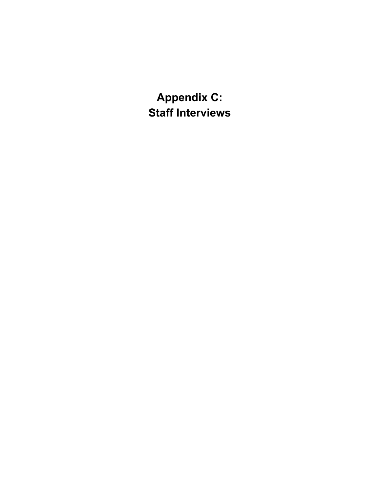**Appendix C: Staff Interviews**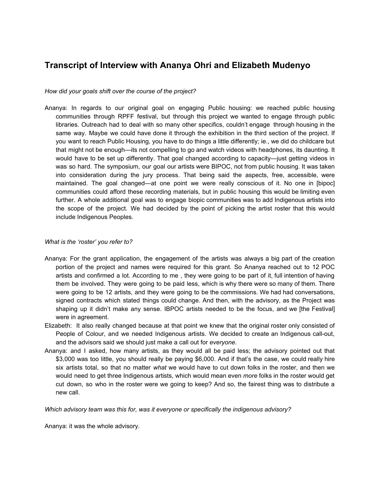### **Transcript of Interview with Ananya Ohri and Elizabeth Mudenyo**

*How did your goals shift over the course of the project?*

Ananya: In regards to our original goal on engaging Public housing: we reached public housing communities through RPFF festival, but through this project we wanted to engage through public libraries. Outreach had to deal with so many other specifics, couldn't engage through housing in the same way. Maybe we could have done it through the exhibition in the third section of the project. If you want to reach Public Housing, you have to do things a little differently; ie., we did do childcare but that might not be enough—its not compelling to go and watch videos with headphones, its daunting. It would have to be set up differently. That goal changed according to capacity—just getting videos in was so hard. The symposium, our goal our artists were BIPOC, not from public housing. It was taken into consideration during the jury process. That being said the aspects, free, accessible, were maintained. The goal changed—at one point we were really conscious of it. No one in [bipoc] communities could afford these recording materials, but in public housing this would be limiting even further. A whole additional goal was to engage biopic communities was to add Indigenous artists into the scope of the project. We had decided by the point of picking the artist roster that this would include Indigenous Peoples.

#### *What is the 'roster' you refer to?*

- Ananya: For the grant application, the engagement of the artists was always a big part of the creation portion of the project and names were required for this grant. So Ananya reached out to 12 POC artists and confirmed a lot. According to me , they were going to be part of it, full intention of having them be involved. They were going to be paid less, which is why there were so many of them. There were going to be 12 artists, and they were going to be the commissions. We had had conversations, signed contracts which stated things could change. And then, with the advisory, as the Project was shaping up it didn't make any sense. IBPOC artists needed to be the focus, and we [the Festival] were in agreement.
- Elizabeth: It also really changed because at that point we knew that the original roster only consisted of People of Colour, and we needed Indigenous artists. We decided to create an Indigenous call-out, and the advisors said we should just make a call out for *everyone*.
- Ananya: and I asked, how many artists, as they would all be paid less; the advisory pointed out that \$3,000 was too little, you should really be paying \$6,000. And if that's the case, we could really hire six artists total, so that no matter *what* we would have to cut down folks in the roster, and then we would need to get three Indigenous artists, which would mean even *more* folks in the roster would get cut down, so who in the roster were we going to keep? And so, the fairest thing was to distribute a new call.

*Which advisory team was this for, was it everyone or specifically the indigenous advisory?*

Ananya: it was the whole advisory.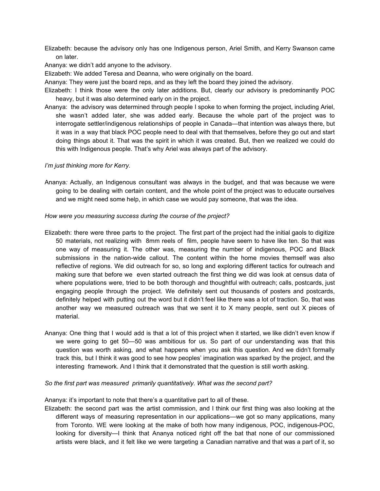Elizabeth: because the advisory only has one Indigenous person, Ariel Smith, and Kerry Swanson came on later.

Ananya: we didn't add anyone to the advisory.

Elizabeth: We added Teresa and Deanna, who were originally on the board.

Ananya: They were just the board reps, and as they left the board they joined the advisory.

- Elizabeth: I think those were the only later additions. But, clearly our advisory is predominantly POC heavy, but it was also determined early on in the project.
- Ananya: the advisory was determined through people I spoke to when forming the project, including Ariel, she wasn't added later, she was added early. Because the whole part of the project was to interrogate settler/indigenous relationships of people in Canada—that intention was always there, but it was in a way that black POC people need to deal with that themselves, before they go out and start doing things about it. That was the spirit in which it was created. But, then we realized we could do this with Indigenous people. That's why Ariel was always part of the advisory.

#### *I'm just thinking more for Kerry.*

Ananya*:* Actually, an Indigenous consultant was always in the budget, and that was because we were going to be dealing with certain content, and the whole point of the project was to educate ourselves and we might need some help, in which case we would pay someone, that was the idea.

#### *How were you measuring success during the course of the project?*

- Elizabeth: there were three parts to the project. The first part of the project had the initial gaols to digitize 50 materials, not realizing with 8mm reels of film, people have seem to have like ten. So that was one way of measuring it. The other was, measuring the number of indigenous, POC and Black submissions in the nation-wide callout. The content within the home movies themself was also reflective of regions. We did outreach for so, so long and exploring different tactics for outreach and making sure that before we even started outreach the first thing we did was look at census data of where populations were, tried to be both thorough and thoughtful with outreach; calls, postcards, just engaging people through the project. We definitely sent out thousands of posters and postcards, definitely helped with putting out the word but it didn't feel like there was a lot of traction. So, that was another way we measured outreach was that we sent it to X many people, sent out X pieces of material.
- Ananya: One thing that I would add is that a lot of this project when it started, we like didn't even know if we were going to get 50—50 was ambitious for us. So part of our understanding was that this question was worth asking, and what happens when you ask this question. And we didn't formally track this, but I think it was good to see how peoples' imagination was sparked by the project, and the interesting framework. And I think that it demonstrated that the question is still worth asking.

#### *So the first part was measured primarily quantitatively. What was the second part?*

Ananya: it's important to note that there's a quantitative part to all of these.

Elizabeth: the second part was the artist commission, and I think our first thing was also looking at the different ways of measuring representation in our applications—we got so many applications, many from Toronto. WE were looking at the make of both how many indigenous, POC, indigenous-POC, looking for diversity—I think that Ananya noticed right off the bat that none of our commissioned artists were black, and it felt like we were targeting a Canadian narrative and that was a part of it, so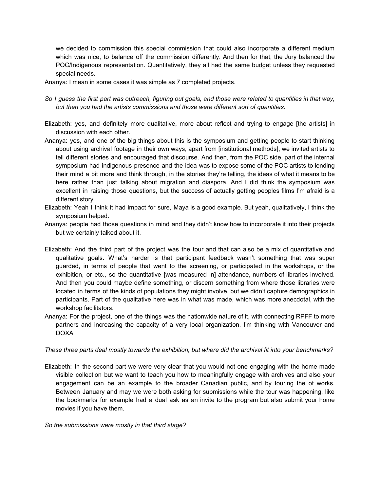we decided to commission this special commission that could also incorporate a different medium which was nice, to balance off the commission differently. And then for that, the Jury balanced the POC/Indigenous representation. Quantitatively, they all had the same budget unless they requested special needs.

Ananya: I mean in some cases it was simple as 7 completed projects.

- So I guess the first part was outreach, figuring out goals, and those were related to quantities in that way, *but then you had the artists commissions and those were different sort of quantities.*
- Elizabeth: yes, and definitely more qualitative, more about reflect and trying to engage [the artists] in discussion with each other.
- Ananya: yes, and one of the big things about this is the symposium and getting people to start thinking about using archival footage in their own ways, apart from [institutional methods], we invited artists to tell different stories and encouraged that discourse. And then, from the POC side, part of the internal symposium had indigenous presence and the idea was to expose some of the POC artists to lending their mind a bit more and think through, in the stories they're telling, the ideas of what it means to be here rather than just talking about migration and diaspora. And I did think the symposium was excellent in raising those questions, but the success of actually getting peoples films I'm afraid is a different story.
- Elizabeth: Yeah I think it had impact for sure, Maya is a good example. But yeah, qualitatively, I think the symposium helped.
- Ananya: people had those questions in mind and they didn't know how to incorporate it into their projects but we certainly talked about it.
- Elizabeth: And the third part of the project was the tour and that can also be a mix of quantitative and qualitative goals. What's harder is that participant feedback wasn't something that was super guarded, in terms of people that went to the screening, or participated in the workshops, or the exhibition, or etc., so the quantitative [was measured in] attendance, numbers of libraries involved. And then you could maybe define something, or discern something from where those libraries were located in terms of the kinds of populations they might involve, but we didn't capture demographics in participants. Part of the qualitative here was in what was made, which was more anecdotal, with the workshop facilitators.
- Ananya: For the project, one of the things was the nationwide nature of it, with connecting RPFF to more partners and increasing the capacity of a very local organization. I'm thinking with Vancouver and DOXA

These three parts deal mostly towards the exhibition, but where did the archival fit into your benchmarks?

Elizabeth: In the second part we were very clear that you would not one engaging with the home made visible collection but we want to teach you how to meaningfully engage with archives and also your engagement can be an example to the broader Canadian public, and by touring the of works. Between January and may we were both asking for submissions while the tour was happening, like the bookmarks for example had a dual ask as an invite to the program but also submit your home movies if you have them.

*So the submissions were mostly in that third stage?*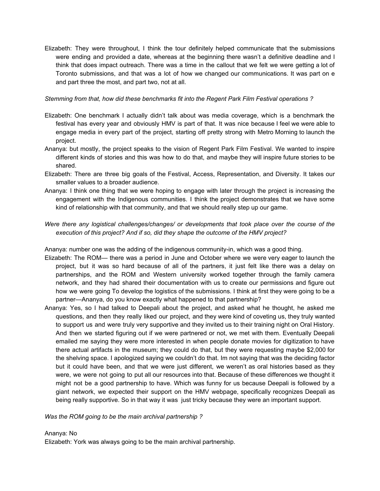Elizabeth: They were throughout, I think the tour definitely helped communicate that the submissions were ending and provided a date, whereas at the beginning there wasn't a definitive deadline and I think that does impact outreach. There was a time in the callout that we felt we were getting a lot of Toronto submissions, and that was a lot of how we changed our communications. It was part on e and part three the most, and part two, not at all.

#### *Stemming from that, how did these benchmarks fit into the Regent Park Film Festival operations ?*

- Elizabeth: One benchmark I actually didn't talk about was media coverage, which is a benchmark the festival has every year and obviously HMV is part of that. It was nice because I feel we were able to engage media in every part of the project, starting off pretty strong with Metro Morning to launch the project.
- Ananya: but mostly, the project speaks to the vision of Regent Park Film Festival. We wanted to inspire different kinds of stories and this was how to do that, and maybe they will inspire future stories to be shared.
- Elizabeth: There are three big goals of the Festival, Access, Representation, and Diversity. It takes our smaller values to a broader audience.
- Ananya: I think one thing that we were hoping to engage with later through the project is increasing the engagement with the Indigenous communities. I think the project demonstrates that we have some kind of relationship with that community, and that we should really step up our game.

#### *Were there any logistical challenges/changes/ or developments that took place over the course of the execution of this project? And if so, did they shape the outcome of the HMV project?*

Ananya: number one was the adding of the indigenous community-in, which was a good thing.

- Elizabeth: The ROM— there was a period in June and October where we were very eager to launch the project, but it was so hard because of all of the partners, it just felt like there was a delay on partnerships, and the ROM and Western university worked together through the family camera network, and they had shared their documentation with us to create our permissions and figure out how we were going To develop the logistics of the submissions. I think at first they were going to be a partner—Ananya, do you know exactly what happened to that partnership?
- Ananya: Yes, so I had talked to Deepali about the project, and asked what he thought, he asked me questions, and then they really liked our project, and they were kind of coveting us, they truly wanted to support us and were truly very supportive and they invited us to their training night on Oral History. And then we started figuring out if we were partnered or not, we met with them. Eventually Deepali emailed me saying they were more interested in when people donate movies for digitization to have there actual artifacts in the museum; they could do that, but they were requesting maybe \$2,000 for the shelving space. I apologized saying we couldn't do that. Im not saying that was the deciding factor but it could have been, and that we were just different, we weren't as oral histories based as they were, we were not going to put all our resources into that. Because of these differences we thought it might not be a good partnership to have. Which was funny for us because Deepali is followed by a giant network, we expected their support on the HMV webpage, specifically recognizes Deepali as being really supportive. So in that way it was just tricky because they were an important support.

*Was the ROM going to be the main archival partnership ?*

#### Ananya: No

Elizabeth: York was always going to be the main archival partnership.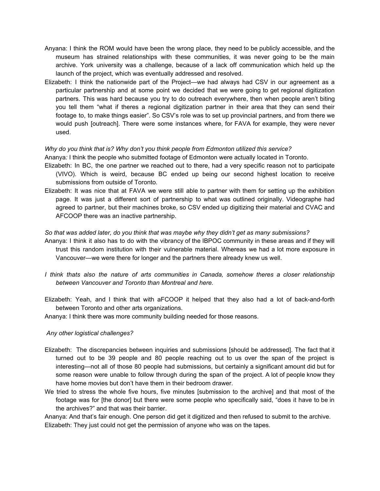- Anyana: I think the ROM would have been the wrong place, they need to be publicly accessible, and the museum has strained relationships with these communities, it was never going to be the main archive. York university was a challenge, because of a lack off communication which held up the launch of the project, which was eventually addressed and resolved.
- Elizabeth: I think the nationwide part of the Project—we had always had CSV in our agreement as a particular partnership and at some point we decided that we were going to get regional digitization partners. This was hard because you try to do outreach everywhere, then when people aren't biting you tell them "what if theres a regional digitization partner in their area that they can send their footage to, to make things easier". So CSV's role was to set up provincial partners, and from there we would push [outreach]. There were some instances where, for FAVA for example, they were never used.

#### *Why do you think that is? Why don't you think people from Edmonton utilized this service?*

Ananya*:* I think the people who submitted footage of Edmonton were actually located in Toronto.

- Elizabeth: In BC, the one partner we reached out to there, had a very specific reason not to participate (VIVO). Which is weird, because BC ended up being our second highest location to receive submissions from outside of Toronto.
- Elizabeth: It was nice that at FAVA we were still able to partner with them for setting up the exhibition page. It was just a different sort of partnership to what was outlined originally. Videographe had agreed to partner, but their machines broke, so CSV ended up digitizing their material and CVAC and AFCOOP there was an inactive partnership.

#### *So that was added later, do you think that was maybe why they didn't get as many submissions?*

- Ananya: I think it also has to do with the vibrancy of the IBPOC community in these areas and if they will trust this random institution with their vulnerable material. Whereas we had a lot more exposure in Vancouver—we were there for longer and the partners there already knew us well.
- *I think thats also the nature of arts communities in Canada, somehow theres a closer relationship between Vancouver and Toronto than Montreal and here.*
- Elizabeth: Yeah, and I think that with aFCOOP it helped that they also had a lot of back-and-forth between Toronto and other arts organizations.
- Ananya: I think there was more community building needed for those reasons.

#### *Any other logistical challenges?*

- Elizabeth: The discrepancies between inquiries and submissions [should be addressed]. The fact that it turned out to be 39 people and 80 people reaching out to us over the span of the project is interesting—not all of those 80 people had submissions, but certainly a significant amount did but for some reason were unable to follow through during the span of the project. A lot of people know they have home movies but don't have them in their bedroom drawer.
- We tried to stress the whole five hours, five minutes [submission to the archive] and that most of the footage was for [the donor] but there were some people who specifically said, "does it have to be in the archives?" and that was their barrier.

Ananya: And that's fair enough. One person did get it digitized and then refused to submit to the archive. Elizabeth: They just could not get the permission of anyone who was on the tapes.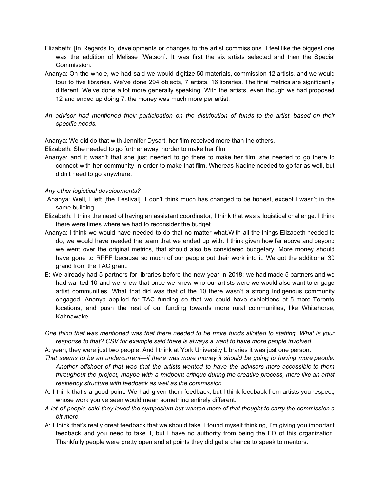- Elizabeth: [In Regards to] developments or changes to the artist commissions. I feel like the biggest one was the addition of Melisse [Watson]. It was first the six artists selected and then the Special Commission.
- Ananya: On the whole, we had said we would digitize 50 materials, commission 12 artists, and we would tour to five libraries. We've done 294 objects, 7 artists, 16 libraries. The final metrics are significantly different. We've done a lot more generally speaking. With the artists, even though we had proposed 12 and ended up doing 7, the money was much more per artist.
- *An advisor had mentioned their participation on the distribution of funds to the artist, based on their specific needs.*

Ananya: We did do that with Jennifer Dysart, her film received more than the others.

Elizabeth: She needed to go further away inorder to make her film

Ananya: and it wasn't that she just needed to go there to make her film, she needed to go there to connect with her community in order to make that film. Whereas Nadine needed to go far as well, but didn't need to go anywhere.

#### *Any other logistical developments?*

- Ananya: Well, I left [the Festival]. I don't think much has changed to be honest, except I wasn't in the same building.
- Elizabeth: I think the need of having an assistant coordinator, I think that was a logistical challenge. I think there were times where we had to reconsider the budget
- Ananya: I think we would have needed to do that no matter what.With all the things Elizabeth needed to do, we would have needed the team that we ended up with. I think given how far above and beyond we went over the original metrics, that should also be considered budgetary. More money should have gone to RPFF because so much of our people put their work into it. We got the additional 30 grand from the TAC grant.
- E: We already had 5 partners for libraries before the new year in 2018: we had made 5 partners and we had wanted 10 and we knew that once we knew who our artists were we would also want to engage artist communities. What that did was that of the 10 there wasn't a strong Indigenous community engaged. Ananya applied for TAC funding so that we could have exhibitions at 5 more Toronto locations, and push the rest of our funding towards more rural communities, like Whitehorse, Kahnawake.
- One thing that was mentioned was that there needed to be more funds allotted to staffing. What is your *response to that? CSV for example said there is always a want to have more people involved*

A: yeah, they were just two people. And I think at York University Libraries it was just one person.

- *That seems to be an undercurrent—if there was more money it should be going to having more people. Another offshoot of that was that the artists wanted to have the advisors more accessible to them throughout the project, maybe with a midpoint critique during the creative process, more like an artist residency structure with feedback as well as the commission.*
- A: I think that's a good point. We had given them feedback, but I think feedback from artists you respect, whose work you've seen would mean something entirely different.
- A lot of people said they loved the symposium but wanted more of that thought to carry the commission a *bit more.*
- A: I think that's really great feedback that we should take. I found myself thinking, I'm giving you important feedback and you need to take it, but I have no authority from being the ED of this organization. Thankfully people were pretty open and at points they did get a chance to speak to mentors.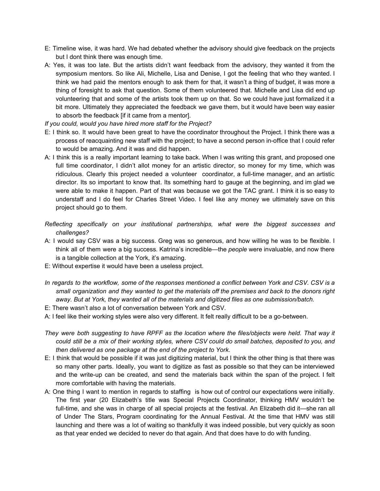- E: Timeline wise, it was hard. We had debated whether the advisory should give feedback on the projects but I dont think there was enough time.
- A: Yes, it was too late. But the artists didn't want feedback from the advisory, they wanted it from the symposium mentors. So like Ali, Michelle, Lisa and Denise, I got the feeling that who they wanted. I think we had paid the mentors enough to ask them for that, it wasn't a thing of budget, it was more a thing of foresight to ask that question. Some of them volunteered that. Michelle and Lisa did end up volunteering that and some of the artists took them up on that. So we could have just formalized it a bit more. Ultimately they appreciated the feedback we gave them, but it would have been way easier to absorb the feedback [if it came from a mentor].
- *If you could, would you have hired more staff for the Project?*
- E: I think so. It would have been great to have the coordinator throughout the Project. I think there was a process of reacquainting new staff with the project; to have a second person in-office that I could refer to would be amazing. And it was and did happen.
- A: I think this is a really important learning to take back. When I was writing this grant, and proposed one full time coordinator, I didn't allot money for an artistic director, so money for my time, which was ridiculous. Clearly this project needed a volunteer coordinator, a full-time manager, and an artistic director. Its so important to know that. Its something hard to gauge at the beginning, and im glad we were able to make it happen. Part of that was because we got the TAC grant. I think it is so easy to understaff and I do feel for Charles Street Video. I feel like any money we ultimately save on this project should go to them.
- *Reflecting specifically on your institutional partnerships, what were the biggest successes and challenges?*
- A: I would say CSV was a big success. Greg was so generous, and how willing he was to be flexible. I think all of them were a big success. Katrina's incredible—the *people* were invaluable, and now there is a tangible collection at the York, it's amazing.
- E: Without expertise it would have been a useless project.
- In regards to the workflow, some of the responses mentioned a conflict between York and CSV. CSV is a small organization and they wanted to get the materials off the premises and back to the donors right *away. But at York, they wanted all of the materials and digitized files as one submission/batch.*
- E: There wasn't also a lot of conversation between York and CSV.
- A: I feel like their working styles were also very different. It felt really difficult to be a go-between.
- They were both suggesting to have RPFF as the location where the files/objects were held. That way it could still be a mix of their working styles, where CSV could do small batches, deposited to you, and *then delivered as one package at the end of the project to York.*
- E: I think that would be possible if it was just digitizing material, but I think the other thing is that there was so many other parts. Ideally, you want to digitize as fast as possible so that they can be interviewed and the write-up can be created, and send the materials back within the span of the project. I felt more comfortable with having the materials.
- A: One thing I want to mention in regards to staffing is how out of control our expectations were initially. The first year (20 Elizabeth's title was Special Projects Coordinator, thinking HMV wouldn't be full-time, and she was in charge of all special projects at the festival. An Elizabeth did it—she ran all of Under The Stars, Program coordinating for the Annual Festival. At the time that HMV was still launching and there was a lot of waiting so thankfully it was indeed possible, but very quickly as soon as that year ended we decided to never do that again. And that does have to do with funding.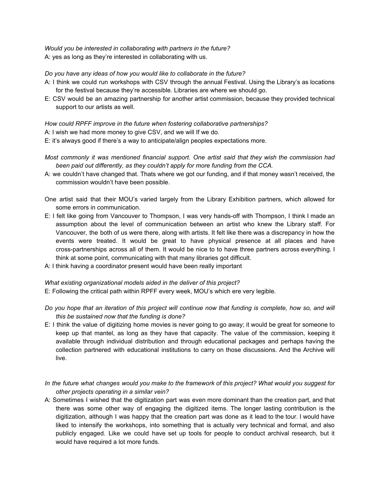*Would you be interested in collaborating with partners in the future?* A: yes as long as they're interested in collaborating with us.

#### *Do you have any ideas of how you would like to collaborate in the future?*

- A: I think we could run workshops with CSV through the annual Festival. Using the Library's as locations for the festival because they're accessible. Libraries are where we should go.
- E: CSV would be an amazing partnership for another artist commission, because they provided technical support to our artists as well.

#### *How could RPFF improve in the future when fostering collaborative partnerships?*

A: I wish we had more money to give CSV, and we will If we do.

- E: it's always good if there's a way to anticipate/align peoples expectations more.
- *Most commonly it was mentioned financial support. One artist said that they wish the commission had been paid out differently, as they couldn't apply for more funding from the CCA.*
- A: we couldn't have changed that. Thats where we got our funding, and if that money wasn't received, the commission wouldn't have been possible.
- One artist said that their MOU's varied largely from the Library Exhibition partners, which allowed for some errors in communication.
- E: I felt like going from Vancouver to Thompson, I was very hands-off with Thompson, I think I made an assumption about the level of communication between an artist who knew the Library staff. For Vancouver, the both of us were there, along with artists. It felt like there was a discrepancy in how the events were treated. It would be great to have physical presence at all places and have cross-partnerships across all of them. It would be nice to to have three partners across everything. I think at some point, communicating with that many libraries got difficult.
- A: I think having a coordinator present would have been really important

#### *What existing organizational models aided in the deliver of this project?*

- E: Following the critical path within RPFF every week, MOU's which ere very legible*.*
- Do you hope that an iteration of this project will continue now that funding is complete, how so, and will *this be sustained now that the funding is done?*
- E: I think the value of digitizing home movies is never going to go away; it would be great for someone to keep up that mantel, as long as they have that capacity. The value of the commission, keeping it available through individual distribution and through educational packages and perhaps having the collection partnered with educational institutions to carry on those discussions. And the Archive will live.
- In the future what changes would you make to the framework of this project? What would you suggest for *other projects operating in a similar vein?*
- A: Sometimes I wished that the digitization part was even more dominant than the creation part, and that there was some other way of engaging the digitized items. The longer lasting contribution is the digitization, although I was happy that the creation part was done as it lead to the tour. I would have liked to intensify the workshops, into something that is actually very technical and formal, and also publicly engaged. Like we could have set up tools for people to conduct archival research, but it would have required a lot more funds.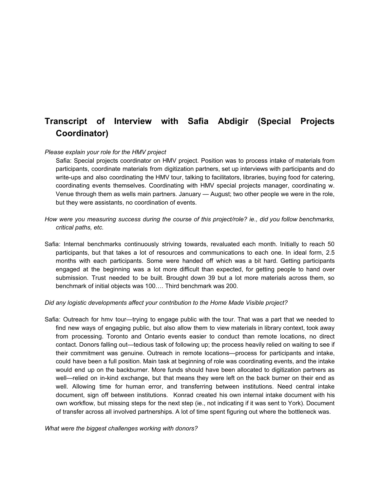# **Transcript of Interview with Safia Abdigir (Special Projects Coordinator)**

#### *Please explain your role for the HMV project*

Safia: Special projects coordinator on HMV project. Position was to process intake of materials from participants, coordinate materials from digitization partners, set up interviews with participants and do write-ups and also coordinating the HMV tour, talking to facilitators, libraries, buying food for catering, coordinating events themselves. Coordinating with HMV special projects manager, coordinating w. Venue through them as wells main partners. January — August; two other people we were in the role, but they were assistants, no coordination of events.

- *How were you measuring success during the course of this project/role? ie., did you follow benchmarks, critical paths, etc.*
- Safia: Internal benchmarks continuously striving towards, revaluated each month. Initially to reach 50 participants, but that takes a lot of resources and communications to each one. In ideal form, 2.5 months with each participants. Some were handed off which was a bit hard. Getting participants engaged at the beginning was a lot more difficult than expected, for getting people to hand over submission. Trust needed to be built. Brought down 39 but a lot more materials across them, so benchmark of initial objects was 100…. Third benchmark was 200.

*Did any logistic developments affect your contribution to the Home Made Visible project?*

Safia: Outreach for hmv tour—trying to engage public with the tour. That was a part that we needed to find new ways of engaging public, but also allow them to view materials in library context, took away from processing. Toronto and Ontario events easier to conduct than remote locations, no direct contact. Donors falling out—tedious task of following up; the process heavily relied on waiting to see if their commitment was genuine. Outreach in remote locations—process for participants and intake, could have been a full position. Main task at beginning of role was coordinating events, and the intake would end up on the backburner. More funds should have been allocated to digitization partners as well—relied on in-kind exchange, but that means they were left on the back burner on their end as well. Allowing time for human error, and transferring between institutions. Need central intake document, sign off between institutions. Konrad created his own internal intake document with his own workflow, but missing steps for the next step (ie., not indicating if it was sent to York). Document of transfer across all involved partnerships. A lot of time spent figuring out where the bottleneck was.

*What were the biggest challenges working with donors?*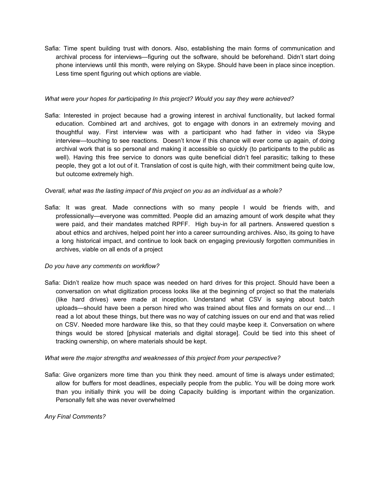Safia: Time spent building trust with donors. Also, establishing the main forms of communication and archival process for interviews—figuring out the software, should be beforehand. Didn't start doing phone interviews until this month, were relying on Skype. Should have been in place since inception. Less time spent figuring out which options are viable.

#### *What were your hopes for participating In this project? Would you say they were achieved?*

Safia: Interested in project because had a growing interest in archival functionality, but lacked formal education. Combined art and archives, got to engage with donors in an extremely moving and thoughtful way. First interview was with a participant who had father in video via Skype interview—touching to see reactions. Doesn't know if this chance will ever come up again, of doing archival work that is so personal and making it accessible so quickly (to participants to the public as well). Having this free service to donors was quite beneficial didn't feel parasitic; talking to these people, they got a lot out of it. Translation of cost is quite high, with their commitment being quite low, but outcome extremely high.

#### *Overall, what was the lasting impact of this project on you as an individual as a whole?*

Safia: It was great. Made connections with so many people I would be friends with, and professionally—everyone was committed. People did an amazing amount of work despite what they were paid, and their mandates matched RPFF. High buy-in for all partners. Answered question s about ethics and archives, helped point her into a career surrounding archives. Also, its going to have a long historical impact, and continue to look back on engaging previously forgotten communities in archives, viable on all ends of a project

#### *Do you have any comments on workflow?*

Safia: Didn't realize how much space was needed on hard drives for this project. Should have been a conversation on what digitization process looks like at the beginning of project so that the materials (like hard drives) were made at inception. Understand what CSV is saying about batch uploads—should have been a person hired who was trained about files and formats on our end… I read a lot about these things, but there was no way of catching issues on our end and that was relied on CSV. Needed more hardware like this, so that they could maybe keep it. Conversation on where things would be stored [physical materials and digital storage]. Could be tied into this sheet of tracking ownership, on where materials should be kept.

#### *What were the major strengths and weaknesses of this project from your perspective?*

Safia: Give organizers more time than you think they need. amount of time is always under estimated; allow for buffers for most deadlines, especially people from the public. You will be doing more work than you initially think you will be doing Capacity building is important within the organization. Personally felt she was never overwhelmed

#### *Any Final Comments?*